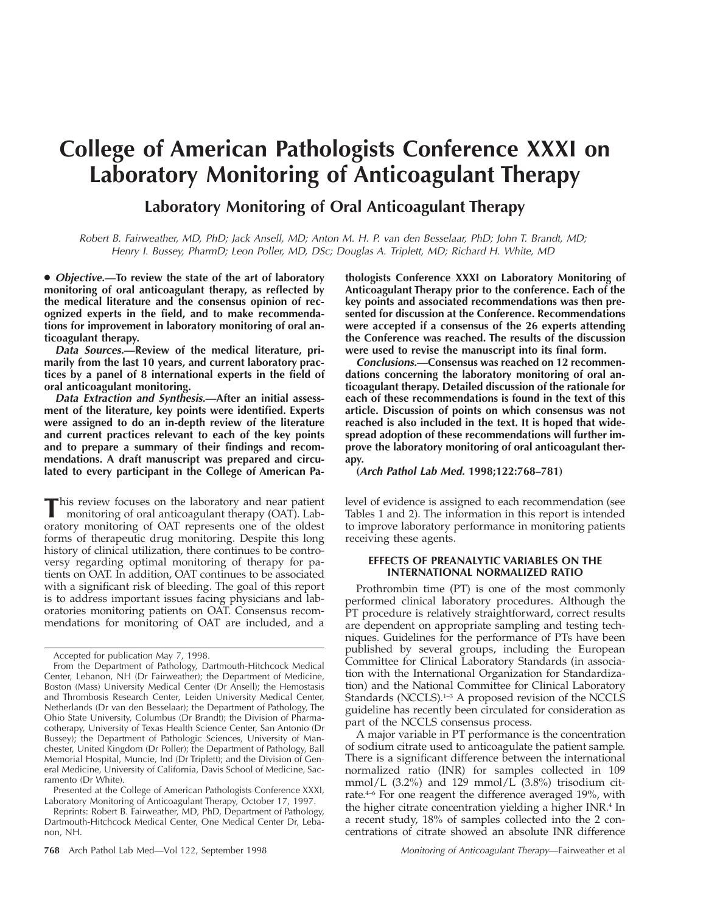# **College of American Pathologists Conference XXXI on Laboratory Monitoring of Anticoagulant Therapy**

## **Laboratory Monitoring of Oral Anticoagulant Therapy**

Robert B. Fairweather, MD, PhD; Jack Ansell, MD; Anton M. H. P. van den Besselaar, PhD; John T. Brandt, MD; Henry I. Bussey, PharmD; Leon Poller, MD, DSc; Douglas A. Triplett, MD; Richard H. White, MD

● **Objective.—To review the state of the art of laboratory monitoring of oral anticoagulant therapy, as reflected by the medical literature and the consensus opinion of recognized experts in the field, and to make recommendations for improvement in laboratory monitoring of oral anticoagulant therapy.**

**Data Sources.—Review of the medical literature, primarily from the last 10 years, and current laboratory practices by a panel of 8 international experts in the field of oral anticoagulant monitoring.**

**Data Extraction and Synthesis.—After an initial assessment of the literature, key points were identified. Experts were assigned to do an in-depth review of the literature and current practices relevant to each of the key points and to prepare a summary of their findings and recommendations. A draft manuscript was prepared and circulated to every participant in the College of American Pa-**

This review focuses on the laboratory and near patient monitoring of oral anticoagulant therapy (OAT). Laboratory monitoring of OAT represents one of the oldest forms of therapeutic drug monitoring. Despite this long history of clinical utilization, there continues to be controversy regarding optimal monitoring of therapy for patients on OAT. In addition, OAT continues to be associated with a significant risk of bleeding. The goal of this report is to address important issues facing physicians and laboratories monitoring patients on OAT. Consensus recommendations for monitoring of OAT are included, and a

Presented at the College of American Pathologists Conference XXXI, Laboratory Monitoring of Anticoagulant Therapy, October 17, 1997.

Reprints: Robert B. Fairweather, MD, PhD, Department of Pathology, Dartmouth-Hitchcock Medical Center, One Medical Center Dr, Lebanon, NH.

**thologists Conference XXXI on Laboratory Monitoring of Anticoagulant Therapy prior to the conference. Each of the key points and associated recommendations was then presented for discussion at the Conference. Recommendations were accepted if a consensus of the 26 experts attending the Conference was reached. The results of the discussion were used to revise the manuscript into its final form.**

**Conclusions.—Consensus was reached on 12 recommendations concerning the laboratory monitoring of oral anticoagulant therapy. Detailed discussion of the rationale for each of these recommendations is found in the text of this article. Discussion of points on which consensus was not reached is also included in the text. It is hoped that widespread adoption of these recommendations will further improve the laboratory monitoring of oral anticoagulant therapy.**

**(Arch Pathol Lab Med. 1998;122:768–781)**

level of evidence is assigned to each recommendation (see Tables 1 and 2). The information in this report is intended to improve laboratory performance in monitoring patients receiving these agents.

## **EFFECTS OF PREANALYTIC VARIABLES ON THE INTERNATIONAL NORMALIZED RATIO**

Prothrombin time (PT) is one of the most commonly performed clinical laboratory procedures. Although the PT procedure is relatively straightforward, correct results are dependent on appropriate sampling and testing techniques. Guidelines for the performance of PTs have been published by several groups, including the European Committee for Clinical Laboratory Standards (in association with the International Organization for Standardization) and the National Committee for Clinical Laboratory Standards (NCCLS).<sup>1-3</sup> A proposed revision of the NCCLS guideline has recently been circulated for consideration as part of the NCCLS consensus process.

A major variable in PT performance is the concentration of sodium citrate used to anticoagulate the patient sample. There is a significant difference between the international normalized ratio (INR) for samples collected in 109 mmol/L  $(3.2\%)$  and 129 mmol/L  $(3.8\%)$  trisodium citrate.4–6 For one reagent the difference averaged 19%, with the higher citrate concentration yielding a higher INR.4 In a recent study, 18% of samples collected into the 2 concentrations of citrate showed an absolute INR difference

Accepted for publication May 7, 1998.

From the Department of Pathology, Dartmouth-Hitchcock Medical Center, Lebanon, NH (Dr Fairweather); the Department of Medicine, Boston (Mass) University Medical Center (Dr Ansell); the Hemostasis and Thrombosis Research Center, Leiden University Medical Center, Netherlands (Dr van den Besselaar); the Department of Pathology, The Ohio State University, Columbus (Dr Brandt); the Division of Pharmacotherapy, University of Texas Health Science Center, San Antonio (Dr Bussey); the Department of Pathologic Sciences, University of Manchester, United Kingdom (Dr Poller); the Department of Pathology, Ball Memorial Hospital, Muncie, Ind (Dr Triplett); and the Division of General Medicine, University of California, Davis School of Medicine, Sacramento (Dr White).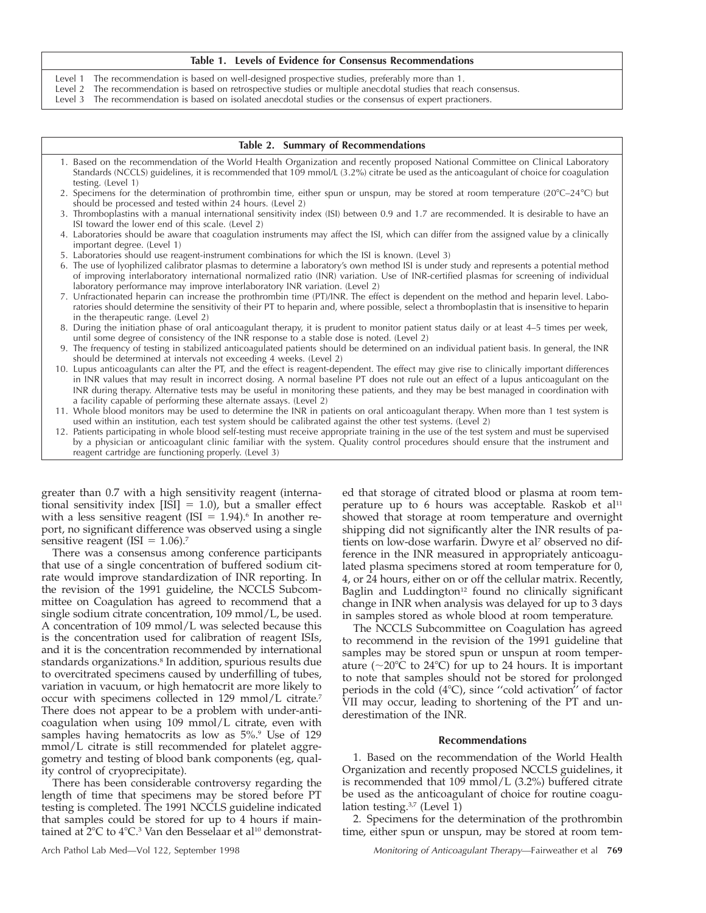#### **Table 1. Levels of Evidence for Consensus Recommendations**

- Level 1 The recommendation is based on well-designed prospective studies, preferably more than 1.<br>Level 2 The recommendation is based on retrospective studies or multiple anecdotal studies that read
- The recommendation is based on retrospective studies or multiple anecdotal studies that reach consensus.
- Level 3 The recommendation is based on isolated anecdotal studies or the consensus of expert practioners.

| Table 2. Summary of Recommendations                                                                                                                                                                                                                                                                                                                                                                                                                                                              |  |  |  |  |  |
|--------------------------------------------------------------------------------------------------------------------------------------------------------------------------------------------------------------------------------------------------------------------------------------------------------------------------------------------------------------------------------------------------------------------------------------------------------------------------------------------------|--|--|--|--|--|
| 1. Based on the recommendation of the World Health Organization and recently proposed National Committee on Clinical Laboratory<br>Standards (NCCLS) guidelines, it is recommended that 109 mmol/L (3.2%) citrate be used as the anticoagulant of choice for coagulation<br>testing. (Level 1)                                                                                                                                                                                                   |  |  |  |  |  |
| 2. Specimens for the determination of prothrombin time, either spun or unspun, may be stored at room temperature ( $20^{\circ}C-24^{\circ}C$ ) but<br>should be processed and tested within 24 hours. (Level 2)                                                                                                                                                                                                                                                                                  |  |  |  |  |  |
| 3. Thromboplastins with a manual international sensitivity index (ISI) between 0.9 and 1.7 are recommended. It is desirable to have an<br>ISI toward the lower end of this scale. (Level 2)                                                                                                                                                                                                                                                                                                      |  |  |  |  |  |
| 4. Laboratories should be aware that coagulation instruments may affect the ISI, which can differ from the assigned value by a clinically<br>important degree. (Level 1)                                                                                                                                                                                                                                                                                                                         |  |  |  |  |  |
| 5. Laboratories should use reagent-instrument combinations for which the ISI is known. (Level 3)                                                                                                                                                                                                                                                                                                                                                                                                 |  |  |  |  |  |
| 6. The use of lyophilized calibrator plasmas to determine a laboratory's own method ISI is under study and represents a potential method<br>of improving interlaboratory international normalized ratio (INR) variation. Use of INR-certified plasmas for screening of individual<br>laboratory performance may improve interlaboratory INR variation. (Level 2)                                                                                                                                 |  |  |  |  |  |
| 7. Unfractionated heparin can increase the prothrombin time (PT)/INR. The effect is dependent on the method and heparin level. Labo-<br>ratories should determine the sensitivity of their PT to heparin and, where possible, select a thromboplastin that is insensitive to heparin<br>in the therapeutic range. (Level 2)                                                                                                                                                                      |  |  |  |  |  |
| 8. During the initiation phase of oral anticoagulant therapy, it is prudent to monitor patient status daily or at least 4-5 times per week,<br>until some degree of consistency of the INR response to a stable dose is noted. (Level 2)                                                                                                                                                                                                                                                         |  |  |  |  |  |
| 9. The frequency of testing in stabilized anticoagulated patients should be determined on an individual patient basis. In general, the INR<br>should be determined at intervals not exceeding 4 weeks. (Level 2)                                                                                                                                                                                                                                                                                 |  |  |  |  |  |
| 10. Lupus anticoagulants can alter the PT, and the effect is reagent-dependent. The effect may give rise to clinically important differences<br>in INR values that may result in incorrect dosing. A normal baseline PT does not rule out an effect of a lupus anticoagulant on the<br>INR during therapy. Alternative tests may be useful in monitoring these patients, and they may be best managed in coordination with<br>a facility capable of performing these alternate assays. (Level 2) |  |  |  |  |  |
| 11. Whole blood monitors may be used to determine the INR in patients on oral anticoagulant therapy. When more than 1 test system is<br>used within an institution, each test system should be calibrated against the other test systems. (Level 2)                                                                                                                                                                                                                                              |  |  |  |  |  |
| 12. Patients participating in whole blood self-testing must receive appropriate training in the use of the test system and must be supervised<br>by a physician or anticoagulant clinic familiar with the system. Quality control procedures should ensure that the instrument and<br>reagent cartridge are functioning properly. (Level 3)                                                                                                                                                      |  |  |  |  |  |
|                                                                                                                                                                                                                                                                                                                                                                                                                                                                                                  |  |  |  |  |  |

greater than 0.7 with a high sensitivity reagent (international sensitivity index  $[ISI] = 1.0$ , but a smaller effect with a less sensitive reagent (ISI =  $1.94$ ).<sup>6</sup> In another report, no significant difference was observed using a single sensitive reagent (ISI =  $1.06$ ).<sup>7</sup>

There was a consensus among conference participants that use of a single concentration of buffered sodium citrate would improve standardization of INR reporting. In the revision of the 1991 guideline, the NCCLS Subcommittee on Coagulation has agreed to recommend that a single sodium citrate concentration, 109 mmol/L, be used. A concentration of 109 mmol/L was selected because this is the concentration used for calibration of reagent ISIs, and it is the concentration recommended by international standards organizations.<sup>8</sup> In addition, spurious results due to overcitrated specimens caused by underfilling of tubes, variation in vacuum, or high hematocrit are more likely to occur with specimens collected in 129 mmol/L citrate.7 There does not appear to be a problem with under-anticoagulation when using 109 mmol/L citrate, even with samples having hematocrits as low as 5%.<sup>9</sup> Use of 129 mmol/L citrate is still recommended for platelet aggregometry and testing of blood bank components (eg, quality control of cryoprecipitate).

There has been considerable controversy regarding the length of time that specimens may be stored before PT testing is completed. The 1991 NCCLS guideline indicated that samples could be stored for up to 4 hours if maintained at  $2^{\circ}$ C to  $4^{\circ}$ C.<sup>3</sup> Van den Besselaar et al<sup>10</sup> demonstrat-

ed that storage of citrated blood or plasma at room temperature up to 6 hours was acceptable. Raskob et al<sup>11</sup> showed that storage at room temperature and overnight shipping did not significantly alter the INR results of patients on low-dose warfarin. Dwyre et al<sup>7</sup> observed no difference in the INR measured in appropriately anticoagulated plasma specimens stored at room temperature for 0, 4, or 24 hours, either on or off the cellular matrix. Recently, Baglin and Luddington<sup>12</sup> found no clinically significant change in INR when analysis was delayed for up to 3 days in samples stored as whole blood at room temperature.

The NCCLS Subcommittee on Coagulation has agreed to recommend in the revision of the 1991 guideline that samples may be stored spun or unspun at room temperature ( $\sim$ 20 $\degree$ C to 24 $\degree$ C) for up to 24 hours. It is important to note that samples should not be stored for prolonged periods in the cold  $(4^{\circ}C)$ , since "cold activation" of factor VII may occur, leading to shortening of the PT and underestimation of the INR.

## **Recommendations**

1. Based on the recommendation of the World Health Organization and recently proposed NCCLS guidelines, it is recommended that 109 mmol/L (3.2%) buffered citrate be used as the anticoagulant of choice for routine coagulation testing. $3,7$  (Level 1)

2. Specimens for the determination of the prothrombin time, either spun or unspun, may be stored at room tem-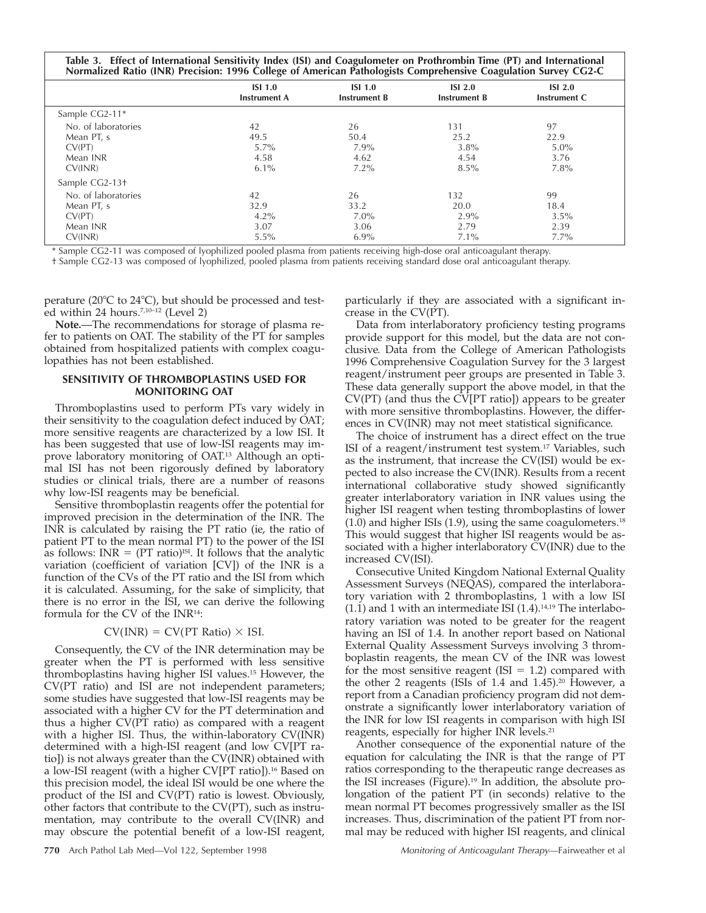| Table 3. Effect of International Sensitivity Index (ISI) and Coagulometer on Prothrombin Time (PT) and International<br>Normalized Ratio (INR) Precision: 1996 College of American Pathologists Comprehensive Coagulation Survey CG2-C |                     |                     |                     |                    |  |  |
|----------------------------------------------------------------------------------------------------------------------------------------------------------------------------------------------------------------------------------------|---------------------|---------------------|---------------------|--------------------|--|--|
|                                                                                                                                                                                                                                        | ISI <sub>1.0</sub>  | <b>ISI 1.0</b>      | ISI <sub>2.0</sub>  | ISI <sub>2.0</sub> |  |  |
|                                                                                                                                                                                                                                        | <b>Instrument A</b> | <b>Instrument B</b> | <b>Instrument B</b> | Instrument C       |  |  |
| Sample CG2-11*                                                                                                                                                                                                                         |                     |                     |                     |                    |  |  |
| No. of laboratories                                                                                                                                                                                                                    | 42                  | 26                  | 131                 | 97                 |  |  |
| Mean PT, s                                                                                                                                                                                                                             | 49.5                | 50.4                | 25.2                | 22.9               |  |  |
| CV(PT)                                                                                                                                                                                                                                 | $5.7\%$             | $7.9\%$             | 3.8%                | $5.0\%$            |  |  |
| Mean INR                                                                                                                                                                                                                               | 4.58                | 4.62                | 4.54                | 3.76               |  |  |
| CV(INR)                                                                                                                                                                                                                                | $6.1\%$             | $7.2\%$             | $8.5\%$             | $7.8\%$            |  |  |
| Sample CG2-13+                                                                                                                                                                                                                         |                     |                     |                     |                    |  |  |
| No. of laboratories                                                                                                                                                                                                                    | 42                  | 26                  | 132                 | 99                 |  |  |
| Mean PT, s                                                                                                                                                                                                                             | 32.9                | 33.2                | 20.0                | 18.4               |  |  |
| CV(PT)                                                                                                                                                                                                                                 | $4.2\%$             | $7.0\%$             | $2.9\%$             | $3.5\%$            |  |  |
| Mean INR                                                                                                                                                                                                                               | 3.07                | 3.06                | 2.79                | 2.39               |  |  |
| CV(INR)                                                                                                                                                                                                                                | 5.5%                | $6.9\%$             | $7.1\%$             | $7.7\%$            |  |  |

\* Sample CG2-11 was composed of lyophilized pooled plasma from patients receiving high-dose oral anticoagulant therapy.

† Sample CG2-13 was composed of lyophilized, pooled plasma from patients receiving standard dose oral anticoagulant therapy.

perature ( $20^{\circ}$ C to  $24^{\circ}$ C), but should be processed and tested within 24 hours.7,10–12 (Level 2)

**Note.**—The recommendations for storage of plasma refer to patients on OAT. The stability of the PT for samples obtained from hospitalized patients with complex coagulopathies has not been established.

## **SENSITIVITY OF THROMBOPLASTINS USED FOR MONITORING OAT**

Thromboplastins used to perform PTs vary widely in their sensitivity to the coagulation defect induced by OAT; more sensitive reagents are characterized by a low ISI. It has been suggested that use of low-ISI reagents may improve laboratory monitoring of OAT.13 Although an optimal ISI has not been rigorously defined by laboratory studies or clinical trials, there are a number of reasons why low-ISI reagents may be beneficial.

Sensitive thromboplastin reagents offer the potential for improved precision in the determination of the INR. The INR is calculated by raising the PT ratio (ie, the ratio of patient PT to the mean normal PT) to the power of the ISI as follows: INR =  $(PT \text{ ratio})^{ISI}$ . It follows that the analytic variation (coefficient of variation [CV]) of the INR is a function of the CVs of the PT ratio and the ISI from which it is calculated. Assuming, for the sake of simplicity, that there is no error in the ISI, we can derive the following formula for the CV of the INR14:

### $CV(\text{INR}) = CV(\text{PT Ratio}) \times \text{ISI}.$

Consequently, the CV of the INR determination may be greater when the PT is performed with less sensitive thromboplastins having higher ISI values.15 However, the CV(PT ratio) and ISI are not independent parameters; some studies have suggested that low-ISI reagents may be associated with a higher CV for the PT determination and thus a higher CV(PT ratio) as compared with a reagent with a higher ISI. Thus, the within-laboratory CV(INR) determined with a high-ISI reagent (and low CV[PT ratio]) is not always greater than the CV(INR) obtained with a low-ISI reagent (with a higher CV[PT ratio]).16 Based on this precision model, the ideal ISI would be one where the product of the ISI and CV(PT) ratio is lowest. Obviously, other factors that contribute to the CV(PT), such as instrumentation, may contribute to the overall CV(INR) and may obscure the potential benefit of a low-ISI reagent, particularly if they are associated with a significant increase in the CV(PT).

Data from interlaboratory proficiency testing programs provide support for this model, but the data are not conclusive. Data from the College of American Pathologists 1996 Comprehensive Coagulation Survey for the 3 largest reagent/instrument peer groups are presented in Table 3. These data generally support the above model, in that the CV(PT) (and thus the CV[PT ratio]) appears to be greater with more sensitive thromboplastins. However, the differences in CV(INR) may not meet statistical significance.

The choice of instrument has a direct effect on the true ISI of a reagent/instrument test system.17 Variables, such as the instrument, that increase the CV(ISI) would be expected to also increase the CV(INR). Results from a recent international collaborative study showed significantly greater interlaboratory variation in INR values using the higher ISI reagent when testing thromboplastins of lower  $(1.0)$  and higher ISIs  $(1.9)$ , using the same coagulometers.<sup>18</sup> This would suggest that higher ISI reagents would be associated with a higher interlaboratory CV(INR) due to the increased CV(ISI).

Consecutive United Kingdom National External Quality Assessment Surveys (NEQAS), compared the interlaboratory variation with 2 thromboplastins, 1 with a low ISI  $(1.1)$  and 1 with an intermediate ISI  $(1.4)$ .<sup>14,19</sup> The interlaboratory variation was noted to be greater for the reagent having an ISI of 1.4. In another report based on National External Quality Assessment Surveys involving 3 thromboplastin reagents, the mean CV of the INR was lowest for the most sensitive reagent (ISI  $= 1.2$ ) compared with the other 2 reagents (ISIs of 1.4 and 1.45).20 However, a report from a Canadian proficiency program did not demonstrate a significantly lower interlaboratory variation of the INR for low ISI reagents in comparison with high ISI reagents, especially for higher INR levels.21

Another consequence of the exponential nature of the equation for calculating the INR is that the range of PT ratios corresponding to the therapeutic range decreases as the ISI increases (Figure).19 In addition, the absolute prolongation of the patient PT (in seconds) relative to the mean normal PT becomes progressively smaller as the ISI increases. Thus, discrimination of the patient PT from normal may be reduced with higher ISI reagents, and clinical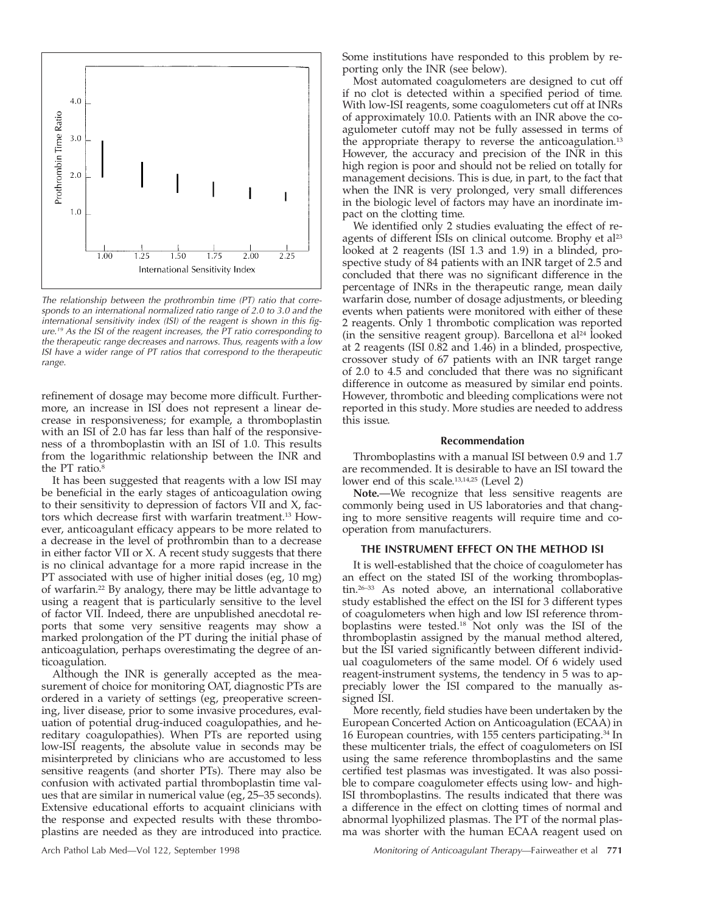

The relationship between the prothrombin time (PT) ratio that corresponds to an international normalized ratio range of 2.0 to 3.0 and the international sensitivity index (ISI) of the reagent is shown in this figure.<sup>19</sup> As the ISI of the reagent increases, the PT ratio corresponding to the therapeutic range decreases and narrows. Thus, reagents with <sup>a</sup> low ISI have <sup>a</sup> wider range of PT ratios that correspond to the therapeutic range.

refinement of dosage may become more difficult. Furthermore, an increase in ISI does not represent a linear decrease in responsiveness; for example, a thromboplastin with an ISI of 2.0 has far less than half of the responsiveness of a thromboplastin with an ISI of 1.0. This results from the logarithmic relationship between the INR and the PT ratio.<sup>8</sup>

It has been suggested that reagents with a low ISI may be beneficial in the early stages of anticoagulation owing to their sensitivity to depression of factors VII and X, factors which decrease first with warfarin treatment.13 However, anticoagulant efficacy appears to be more related to a decrease in the level of prothrombin than to a decrease in either factor VII or X. A recent study suggests that there is no clinical advantage for a more rapid increase in the PT associated with use of higher initial doses (eg, 10 mg) of warfarin.22 By analogy, there may be little advantage to using a reagent that is particularly sensitive to the level of factor VII. Indeed, there are unpublished anecdotal reports that some very sensitive reagents may show a marked prolongation of the PT during the initial phase of anticoagulation, perhaps overestimating the degree of anticoagulation.

Although the INR is generally accepted as the measurement of choice for monitoring OAT, diagnostic PTs are ordered in a variety of settings (eg, preoperative screening, liver disease, prior to some invasive procedures, evaluation of potential drug-induced coagulopathies, and hereditary coagulopathies). When PTs are reported using low-ISI reagents, the absolute value in seconds may be misinterpreted by clinicians who are accustomed to less sensitive reagents (and shorter PTs). There may also be confusion with activated partial thromboplastin time values that are similar in numerical value (eg, 25–35 seconds). Extensive educational efforts to acquaint clinicians with the response and expected results with these thromboplastins are needed as they are introduced into practice.

Some institutions have responded to this problem by reporting only the INR (see below).

Most automated coagulometers are designed to cut off if no clot is detected within a specified period of time. With low-ISI reagents, some coagulometers cut off at INRs of approximately 10.0. Patients with an INR above the coagulometer cutoff may not be fully assessed in terms of the appropriate therapy to reverse the anticoagulation.13 However, the accuracy and precision of the INR in this high region is poor and should not be relied on totally for management decisions. This is due, in part, to the fact that when the INR is very prolonged, very small differences in the biologic level of factors may have an inordinate impact on the clotting time.

We identified only 2 studies evaluating the effect of reagents of different ISIs on clinical outcome. Brophy et al<sup>23</sup> looked at 2 reagents (ISI 1.3 and 1.9) in a blinded, prospective study of 84 patients with an INR target of 2.5 and concluded that there was no significant difference in the percentage of INRs in the therapeutic range, mean daily warfarin dose, number of dosage adjustments, or bleeding events when patients were monitored with either of these 2 reagents. Only 1 thrombotic complication was reported (in the sensitive reagent group). Barcellona et al<sup>24</sup> looked at 2 reagents (ISI 0.82 and 1.46) in a blinded, prospective, crossover study of 67 patients with an INR target range of 2.0 to 4.5 and concluded that there was no significant difference in outcome as measured by similar end points. However, thrombotic and bleeding complications were not reported in this study. More studies are needed to address this issue.

#### **Recommendation**

Thromboplastins with a manual ISI between 0.9 and 1.7 are recommended. It is desirable to have an ISI toward the lower end of this scale.13,14,25 (Level 2)

**Note.**—We recognize that less sensitive reagents are commonly being used in US laboratories and that changing to more sensitive reagents will require time and cooperation from manufacturers.

## **THE INSTRUMENT EFFECT ON THE METHOD ISI**

It is well-established that the choice of coagulometer has an effect on the stated ISI of the working thromboplastin.26–33 As noted above, an international collaborative study established the effect on the ISI for 3 different types of coagulometers when high and low ISI reference thromboplastins were tested.18 Not only was the ISI of the thromboplastin assigned by the manual method altered, but the ISI varied significantly between different individual coagulometers of the same model. Of 6 widely used reagent-instrument systems, the tendency in 5 was to appreciably lower the ISI compared to the manually assigned ISI.

More recently, field studies have been undertaken by the European Concerted Action on Anticoagulation (ECAA) in 16 European countries, with 155 centers participating.34 In these multicenter trials, the effect of coagulometers on ISI using the same reference thromboplastins and the same certified test plasmas was investigated. It was also possible to compare coagulometer effects using low- and high-ISI thromboplastins. The results indicated that there was a difference in the effect on clotting times of normal and abnormal lyophilized plasmas. The PT of the normal plasma was shorter with the human ECAA reagent used on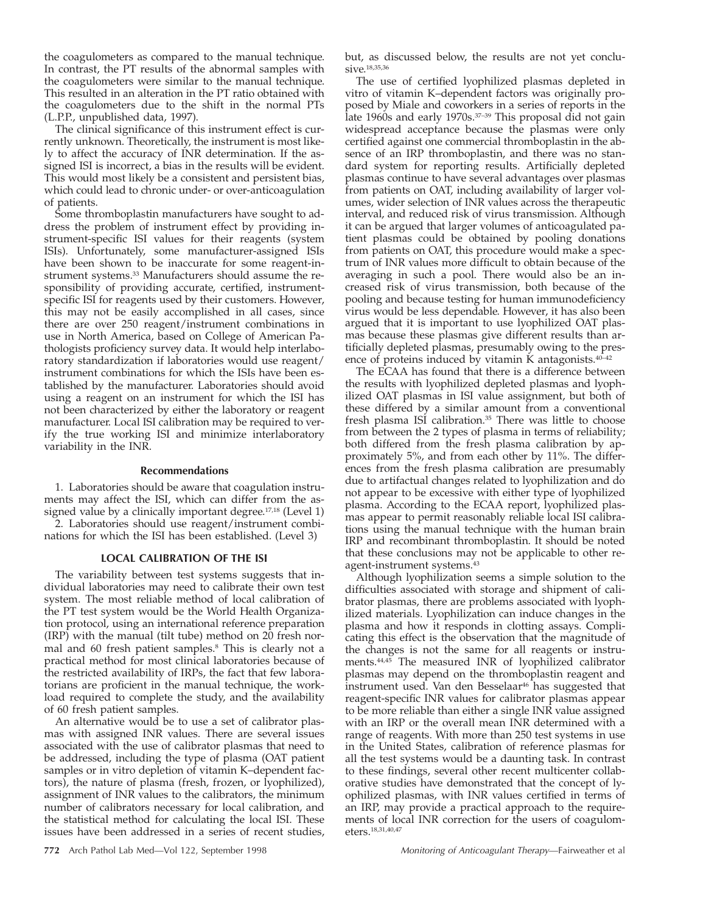the coagulometers as compared to the manual technique. In contrast, the PT results of the abnormal samples with the coagulometers were similar to the manual technique. This resulted in an alteration in the PT ratio obtained with the coagulometers due to the shift in the normal PTs (L.P.P., unpublished data, 1997).

The clinical significance of this instrument effect is currently unknown. Theoretically, the instrument is most likely to affect the accuracy of INR determination. If the assigned ISI is incorrect, a bias in the results will be evident. This would most likely be a consistent and persistent bias, which could lead to chronic under- or over-anticoagulation of patients.

Some thromboplastin manufacturers have sought to address the problem of instrument effect by providing instrument-specific ISI values for their reagents (system ISIs). Unfortunately, some manufacturer-assigned ISIs have been shown to be inaccurate for some reagent-instrument systems.33 Manufacturers should assume the responsibility of providing accurate, certified, instrumentspecific ISI for reagents used by their customers. However, this may not be easily accomplished in all cases, since there are over 250 reagent/instrument combinations in use in North America, based on College of American Pathologists proficiency survey data. It would help interlaboratory standardization if laboratories would use reagent/ instrument combinations for which the ISIs have been established by the manufacturer. Laboratories should avoid using a reagent on an instrument for which the ISI has not been characterized by either the laboratory or reagent manufacturer. Local ISI calibration may be required to verify the true working ISI and minimize interlaboratory variability in the INR.

#### **Recommendations**

1. Laboratories should be aware that coagulation instruments may affect the ISI, which can differ from the assigned value by a clinically important degree.<sup>17,18</sup> (Level 1)

2. Laboratories should use reagent/instrument combinations for which the ISI has been established. (Level 3)

#### **LOCAL CALIBRATION OF THE ISI**

The variability between test systems suggests that individual laboratories may need to calibrate their own test system. The most reliable method of local calibration of the PT test system would be the World Health Organization protocol, using an international reference preparation (IRP) with the manual (tilt tube) method on 20 fresh normal and 60 fresh patient samples.8 This is clearly not a practical method for most clinical laboratories because of the restricted availability of IRPs, the fact that few laboratorians are proficient in the manual technique, the workload required to complete the study, and the availability of 60 fresh patient samples.

An alternative would be to use a set of calibrator plasmas with assigned INR values. There are several issues associated with the use of calibrator plasmas that need to be addressed, including the type of plasma (OAT patient samples or in vitro depletion of vitamin K–dependent factors), the nature of plasma (fresh, frozen, or lyophilized), assignment of INR values to the calibrators, the minimum number of calibrators necessary for local calibration, and the statistical method for calculating the local ISI. These issues have been addressed in a series of recent studies,

but, as discussed below, the results are not yet conclusive.<sup>18,35,36</sup>

The use of certified lyophilized plasmas depleted in vitro of vitamin K–dependent factors was originally proposed by Miale and coworkers in a series of reports in the late 1960s and early 1970s.<sup>37-39</sup> This proposal did not gain widespread acceptance because the plasmas were only certified against one commercial thromboplastin in the absence of an IRP thromboplastin, and there was no standard system for reporting results. Artificially depleted plasmas continue to have several advantages over plasmas from patients on OAT, including availability of larger volumes, wider selection of INR values across the therapeutic interval, and reduced risk of virus transmission. Although it can be argued that larger volumes of anticoagulated patient plasmas could be obtained by pooling donations from patients on OAT, this procedure would make a spectrum of INR values more difficult to obtain because of the averaging in such a pool. There would also be an increased risk of virus transmission, both because of the pooling and because testing for human immunodeficiency virus would be less dependable. However, it has also been argued that it is important to use lyophilized OAT plasmas because these plasmas give different results than artificially depleted plasmas, presumably owing to the presence of proteins induced by vitamin K antagonists.40–42

The ECAA has found that there is a difference between the results with lyophilized depleted plasmas and lyophilized OAT plasmas in ISI value assignment, but both of these differed by a similar amount from a conventional fresh plasma ISI calibration.<sup>35</sup> There was little to choose from between the 2 types of plasma in terms of reliability; both differed from the fresh plasma calibration by approximately 5%, and from each other by 11%. The differences from the fresh plasma calibration are presumably due to artifactual changes related to lyophilization and do not appear to be excessive with either type of lyophilized plasma. According to the ECAA report, lyophilized plasmas appear to permit reasonably reliable local ISI calibrations using the manual technique with the human brain IRP and recombinant thromboplastin. It should be noted that these conclusions may not be applicable to other reagent-instrument systems.43

Although lyophilization seems a simple solution to the difficulties associated with storage and shipment of calibrator plasmas, there are problems associated with lyophilized materials. Lyophilization can induce changes in the plasma and how it responds in clotting assays. Complicating this effect is the observation that the magnitude of the changes is not the same for all reagents or instruments.44,45 The measured INR of lyophilized calibrator plasmas may depend on the thromboplastin reagent and instrument used. Van den Besselaar<sup>46</sup> has suggested that reagent-specific INR values for calibrator plasmas appear to be more reliable than either a single INR value assigned with an IRP or the overall mean INR determined with a range of reagents. With more than 250 test systems in use in the United States, calibration of reference plasmas for all the test systems would be a daunting task. In contrast to these findings, several other recent multicenter collaborative studies have demonstrated that the concept of lyophilized plasmas, with INR values certified in terms of an IRP, may provide a practical approach to the requirements of local INR correction for the users of coagulometers.18,31,40,47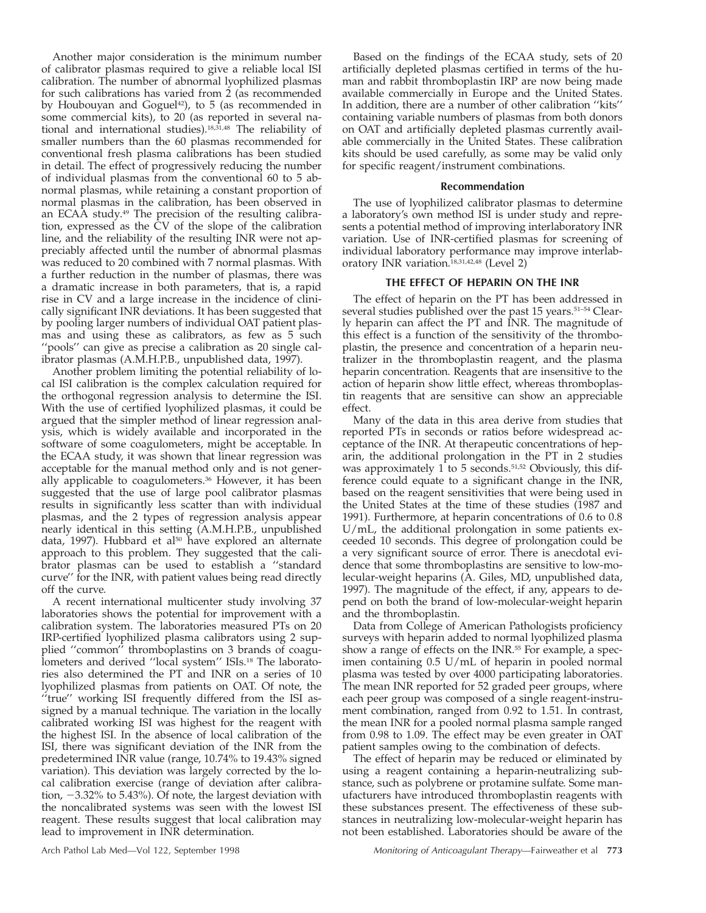Another major consideration is the minimum number of calibrator plasmas required to give a reliable local ISI calibration. The number of abnormal lyophilized plasmas for such calibrations has varied from 2 (as recommended by Houbouyan and Goguel $42$ ), to 5 (as recommended in some commercial kits), to 20 (as reported in several national and international studies).18,31,48 The reliability of smaller numbers than the 60 plasmas recommended for conventional fresh plasma calibrations has been studied in detail. The effect of progressively reducing the number of individual plasmas from the conventional 60 to 5 abnormal plasmas, while retaining a constant proportion of normal plasmas in the calibration, has been observed in an ECAA study.49 The precision of the resulting calibration, expressed as the CV of the slope of the calibration line, and the reliability of the resulting INR were not appreciably affected until the number of abnormal plasmas was reduced to 20 combined with 7 normal plasmas. With a further reduction in the number of plasmas, there was a dramatic increase in both parameters, that is, a rapid rise in CV and a large increase in the incidence of clinically significant INR deviations. It has been suggested that by pooling larger numbers of individual OAT patient plasmas and using these as calibrators, as few as 5 such "pools" can give as precise a calibration as 20 single calibrator plasmas (A.M.H.P.B., unpublished data, 1997).

Another problem limiting the potential reliability of local ISI calibration is the complex calculation required for the orthogonal regression analysis to determine the ISI. With the use of certified lyophilized plasmas, it could be argued that the simpler method of linear regression analysis, which is widely available and incorporated in the software of some coagulometers, might be acceptable. In the ECAA study, it was shown that linear regression was acceptable for the manual method only and is not generally applicable to coagulometers.36 However, it has been suggested that the use of large pool calibrator plasmas results in significantly less scatter than with individual plasmas, and the 2 types of regression analysis appear nearly identical in this setting (A.M.H.P.B., unpublished data, 1997). Hubbard et al<sup>50</sup> have explored an alternate approach to this problem. They suggested that the calibrator plasmas can be used to establish a ''standard curve'' for the INR, with patient values being read directly off the curve.

A recent international multicenter study involving 37 laboratories shows the potential for improvement with a calibration system. The laboratories measured PTs on 20 IRP-certified lyophilized plasma calibrators using 2 supplied ''common'' thromboplastins on 3 brands of coagulometers and derived ''local system'' ISIs.18 The laboratories also determined the PT and INR on a series of 10 lyophilized plasmas from patients on OAT. Of note, the ''true'' working ISI frequently differed from the ISI assigned by a manual technique. The variation in the locally calibrated working ISI was highest for the reagent with the highest ISI. In the absence of local calibration of the ISI, there was significant deviation of the INR from the predetermined INR value (range, 10.74% to 19.43% signed variation). This deviation was largely corrected by the local calibration exercise (range of deviation after calibration,  $-3.32\%$  to 5.43%). Of note, the largest deviation with the noncalibrated systems was seen with the lowest ISI reagent. These results suggest that local calibration may lead to improvement in INR determination.

Based on the findings of the ECAA study, sets of 20 artificially depleted plasmas certified in terms of the human and rabbit thromboplastin IRP are now being made available commercially in Europe and the United States. In addition, there are a number of other calibration ''kits'' containing variable numbers of plasmas from both donors on OAT and artificially depleted plasmas currently available commercially in the United States. These calibration kits should be used carefully, as some may be valid only for specific reagent/instrument combinations.

#### **Recommendation**

The use of lyophilized calibrator plasmas to determine a laboratory's own method ISI is under study and represents a potential method of improving interlaboratory INR variation. Use of INR-certified plasmas for screening of individual laboratory performance may improve interlaboratory INR variation.18,31,42,48 (Level 2)

#### **THE EFFECT OF HEPARIN ON THE INR**

The effect of heparin on the PT has been addressed in several studies published over the past 15 years.<sup>51-54</sup> Clearly heparin can affect the PT and INR. The magnitude of this effect is a function of the sensitivity of the thromboplastin, the presence and concentration of a heparin neutralizer in the thromboplastin reagent, and the plasma heparin concentration. Reagents that are insensitive to the action of heparin show little effect, whereas thromboplastin reagents that are sensitive can show an appreciable effect.

Many of the data in this area derive from studies that reported PTs in seconds or ratios before widespread acceptance of the INR. At therapeutic concentrations of heparin, the additional prolongation in the PT in 2 studies was approximately  $1$  to  $5$  seconds.<sup>51,52</sup> Obviously, this difference could equate to a significant change in the INR, based on the reagent sensitivities that were being used in the United States at the time of these studies (1987 and 1991). Furthermore, at heparin concentrations of 0.6 to 0.8 U/mL, the additional prolongation in some patients exceeded 10 seconds. This degree of prolongation could be a very significant source of error. There is anecdotal evidence that some thromboplastins are sensitive to low-molecular-weight heparins (A. Giles, MD, unpublished data, 1997). The magnitude of the effect, if any, appears to depend on both the brand of low-molecular-weight heparin and the thromboplastin.

Data from College of American Pathologists proficiency surveys with heparin added to normal lyophilized plasma show a range of effects on the INR.55 For example, a specimen containing 0.5 U/mL of heparin in pooled normal plasma was tested by over 4000 participating laboratories. The mean INR reported for 52 graded peer groups, where each peer group was composed of a single reagent-instrument combination, ranged from 0.92 to 1.51. In contrast, the mean INR for a pooled normal plasma sample ranged from 0.98 to 1.09. The effect may be even greater in OAT patient samples owing to the combination of defects.

The effect of heparin may be reduced or eliminated by using a reagent containing a heparin-neutralizing substance, such as polybrene or protamine sulfate. Some manufacturers have introduced thromboplastin reagents with these substances present. The effectiveness of these substances in neutralizing low-molecular-weight heparin has not been established. Laboratories should be aware of the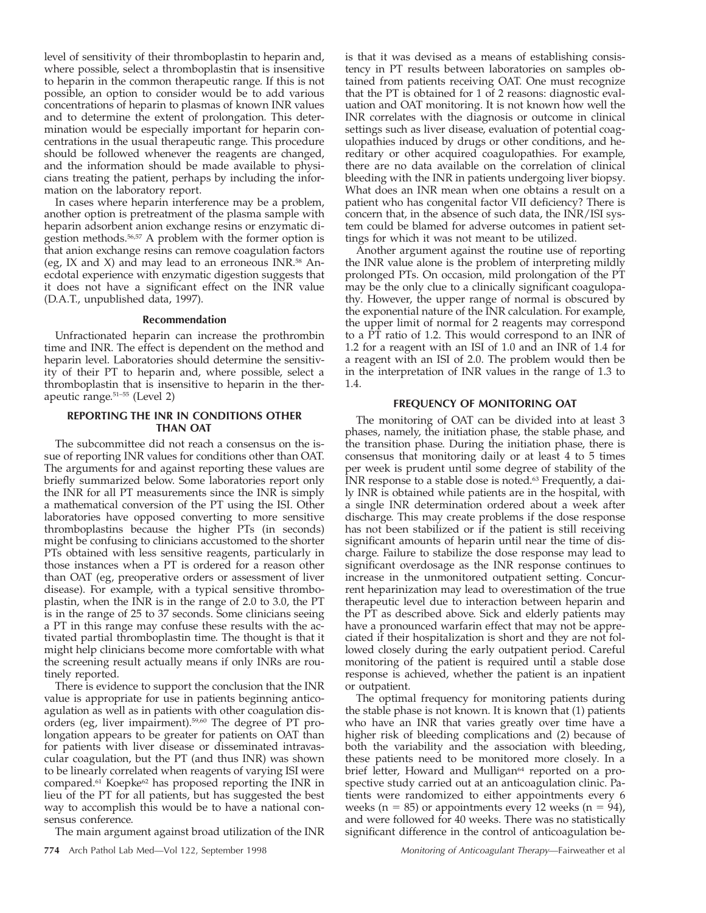level of sensitivity of their thromboplastin to heparin and, where possible, select a thromboplastin that is insensitive to heparin in the common therapeutic range. If this is not possible, an option to consider would be to add various concentrations of heparin to plasmas of known INR values and to determine the extent of prolongation. This determination would be especially important for heparin concentrations in the usual therapeutic range. This procedure should be followed whenever the reagents are changed, and the information should be made available to physicians treating the patient, perhaps by including the information on the laboratory report.

In cases where heparin interference may be a problem, another option is pretreatment of the plasma sample with heparin adsorbent anion exchange resins or enzymatic digestion methods.56,57 A problem with the former option is that anion exchange resins can remove coagulation factors (eg, IX and X) and may lead to an erroneous INR.<sup>58</sup> Anecdotal experience with enzymatic digestion suggests that it does not have a significant effect on the INR value (D.A.T., unpublished data, 1997).

#### **Recommendation**

Unfractionated heparin can increase the prothrombin time and INR. The effect is dependent on the method and heparin level. Laboratories should determine the sensitivity of their PT to heparin and, where possible, select a thromboplastin that is insensitive to heparin in the therapeutic range.51–55 (Level 2)

#### **REPORTING THE INR IN CONDITIONS OTHER THAN OAT**

The subcommittee did not reach a consensus on the issue of reporting INR values for conditions other than OAT. The arguments for and against reporting these values are briefly summarized below. Some laboratories report only the INR for all PT measurements since the INR is simply a mathematical conversion of the PT using the ISI. Other laboratories have opposed converting to more sensitive thromboplastins because the higher PTs (in seconds) might be confusing to clinicians accustomed to the shorter PTs obtained with less sensitive reagents, particularly in those instances when a PT is ordered for a reason other than OAT (eg, preoperative orders or assessment of liver disease). For example, with a typical sensitive thromboplastin, when the INR is in the range of 2.0 to 3.0, the PT is in the range of 25 to 37 seconds. Some clinicians seeing a PT in this range may confuse these results with the activated partial thromboplastin time. The thought is that it might help clinicians become more comfortable with what the screening result actually means if only INRs are routinely reported.

There is evidence to support the conclusion that the INR value is appropriate for use in patients beginning anticoagulation as well as in patients with other coagulation disorders (eg, liver impairment).59,60 The degree of PT prolongation appears to be greater for patients on OAT than for patients with liver disease or disseminated intravascular coagulation, but the PT (and thus INR) was shown to be linearly correlated when reagents of varying ISI were compared.61 Koepke62 has proposed reporting the INR in lieu of the PT for all patients, but has suggested the best way to accomplish this would be to have a national consensus conference.

The main argument against broad utilization of the INR

is that it was devised as a means of establishing consistency in PT results between laboratories on samples obtained from patients receiving OAT. One must recognize that the PT is obtained for 1 of 2 reasons: diagnostic evaluation and OAT monitoring. It is not known how well the INR correlates with the diagnosis or outcome in clinical settings such as liver disease, evaluation of potential coagulopathies induced by drugs or other conditions, and hereditary or other acquired coagulopathies. For example, there are no data available on the correlation of clinical bleeding with the INR in patients undergoing liver biopsy. What does an INR mean when one obtains a result on a patient who has congenital factor VII deficiency? There is concern that, in the absence of such data, the INR/ISI system could be blamed for adverse outcomes in patient settings for which it was not meant to be utilized.

Another argument against the routine use of reporting the INR value alone is the problem of interpreting mildly prolonged PTs. On occasion, mild prolongation of the PT may be the only clue to a clinically significant coagulopathy. However, the upper range of normal is obscured by the exponential nature of the INR calculation. For example, the upper limit of normal for 2 reagents may correspond to a PT ratio of 1.2. This would correspond to an INR of 1.2 for a reagent with an ISI of 1.0 and an INR of 1.4 for a reagent with an ISI of 2.0. The problem would then be in the interpretation of INR values in the range of 1.3 to 1.4.

## **FREQUENCY OF MONITORING OAT**

The monitoring of OAT can be divided into at least 3 phases, namely, the initiation phase, the stable phase, and the transition phase. During the initiation phase, there is consensus that monitoring daily or at least 4 to 5 times per week is prudent until some degree of stability of the INR response to a stable dose is noted.63 Frequently, a daily INR is obtained while patients are in the hospital, with a single INR determination ordered about a week after discharge. This may create problems if the dose response has not been stabilized or if the patient is still receiving significant amounts of heparin until near the time of discharge. Failure to stabilize the dose response may lead to significant overdosage as the INR response continues to increase in the unmonitored outpatient setting. Concurrent heparinization may lead to overestimation of the true therapeutic level due to interaction between heparin and the PT as described above. Sick and elderly patients may have a pronounced warfarin effect that may not be appreciated if their hospitalization is short and they are not followed closely during the early outpatient period. Careful monitoring of the patient is required until a stable dose response is achieved, whether the patient is an inpatient or outpatient.

The optimal frequency for monitoring patients during the stable phase is not known. It is known that (1) patients who have an INR that varies greatly over time have a higher risk of bleeding complications and (2) because of both the variability and the association with bleeding, these patients need to be monitored more closely. In a brief letter, Howard and Mulligan<sup>64</sup> reported on a prospective study carried out at an anticoagulation clinic. Patients were randomized to either appointments every 6 weeks ( $n = 85$ ) or appointments every 12 weeks ( $n = 94$ ), and were followed for 40 weeks. There was no statistically significant difference in the control of anticoagulation be-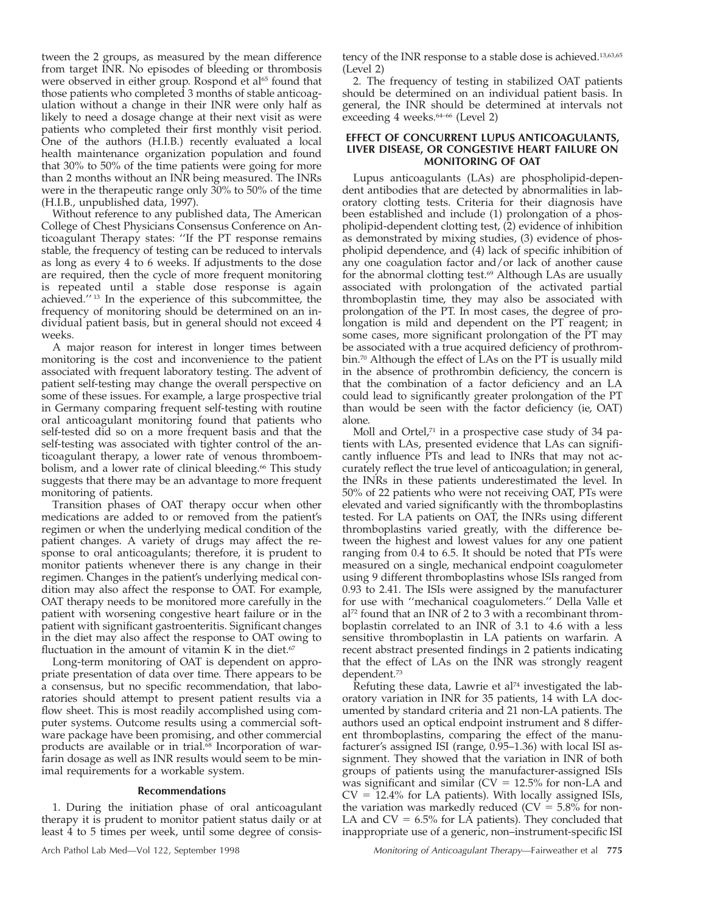tween the 2 groups, as measured by the mean difference from target INR. No episodes of bleeding or thrombosis were observed in either group. Rospond et al<sup>65</sup> found that those patients who completed 3 months of stable anticoagulation without a change in their INR were only half as likely to need a dosage change at their next visit as were patients who completed their first monthly visit period. One of the authors (H.I.B.) recently evaluated a local health maintenance organization population and found that 30% to 50% of the time patients were going for more than 2 months without an INR being measured. The INRs were in the therapeutic range only  $30\%$  to 50% of the time (H.I.B., unpublished data, 1997).

Without reference to any published data, The American College of Chest Physicians Consensus Conference on Anticoagulant Therapy states: ''If the PT response remains stable, the frequency of testing can be reduced to intervals as long as every 4 to 6 weeks. If adjustments to the dose are required, then the cycle of more frequent monitoring is repeated until a stable dose response is again achieved.'' <sup>13</sup> In the experience of this subcommittee, the frequency of monitoring should be determined on an individual patient basis, but in general should not exceed 4 weeks.

A major reason for interest in longer times between monitoring is the cost and inconvenience to the patient associated with frequent laboratory testing. The advent of patient self-testing may change the overall perspective on some of these issues. For example, a large prospective trial in Germany comparing frequent self-testing with routine oral anticoagulant monitoring found that patients who self-tested did so on a more frequent basis and that the self-testing was associated with tighter control of the anticoagulant therapy, a lower rate of venous thromboembolism, and a lower rate of clinical bleeding.<sup>66</sup> This study suggests that there may be an advantage to more frequent monitoring of patients.

Transition phases of OAT therapy occur when other medications are added to or removed from the patient's regimen or when the underlying medical condition of the patient changes. A variety of drugs may affect the response to oral anticoagulants; therefore, it is prudent to monitor patients whenever there is any change in their regimen. Changes in the patient's underlying medical condition may also affect the response to OAT. For example, OAT therapy needs to be monitored more carefully in the patient with worsening congestive heart failure or in the patient with significant gastroenteritis. Significant changes in the diet may also affect the response to OAT owing to fluctuation in the amount of vitamin K in the diet.<sup>67</sup>

Long-term monitoring of OAT is dependent on appropriate presentation of data over time. There appears to be a consensus, but no specific recommendation, that laboratories should attempt to present patient results via a flow sheet. This is most readily accomplished using computer systems. Outcome results using a commercial software package have been promising, and other commercial products are available or in trial.<sup>68</sup> Incorporation of warfarin dosage as well as INR results would seem to be minimal requirements for a workable system.

#### **Recommendations**

1. During the initiation phase of oral anticoagulant therapy it is prudent to monitor patient status daily or at least 4 to 5 times per week, until some degree of consis-

tency of the INR response to a stable dose is achieved.13,63,65 (Level 2)

2. The frequency of testing in stabilized OAT patients should be determined on an individual patient basis. In general, the INR should be determined at intervals not exceeding 4 weeks.<sup>64-66</sup> (Level 2)

## **EFFECT OF CONCURRENT LUPUS ANTICOAGULANTS, LIVER DISEASE, OR CONGESTIVE HEART FAILURE ON MONITORING OF OAT**

Lupus anticoagulants (LAs) are phospholipid-dependent antibodies that are detected by abnormalities in laboratory clotting tests. Criteria for their diagnosis have been established and include (1) prolongation of a phospholipid-dependent clotting test, (2) evidence of inhibition as demonstrated by mixing studies, (3) evidence of phospholipid dependence, and (4) lack of specific inhibition of any one coagulation factor and/or lack of another cause for the abnormal clotting test.<sup>69</sup> Although LAs are usually associated with prolongation of the activated partial thromboplastin time, they may also be associated with prolongation of the PT. In most cases, the degree of prolongation is mild and dependent on the PT reagent; in some cases, more significant prolongation of the PT may be associated with a true acquired deficiency of prothrombin.70 Although the effect of LAs on the PT is usually mild in the absence of prothrombin deficiency, the concern is that the combination of a factor deficiency and an LA could lead to significantly greater prolongation of the PT than would be seen with the factor deficiency (ie, OAT) alone.

Moll and Ortel,<sup>71</sup> in a prospective case study of 34 patients with LAs, presented evidence that LAs can significantly influence PTs and lead to INRs that may not accurately reflect the true level of anticoagulation; in general, the INRs in these patients underestimated the level. In 50% of 22 patients who were not receiving OAT, PTs were elevated and varied significantly with the thromboplastins tested. For LA patients on OAT, the INRs using different thromboplastins varied greatly, with the difference between the highest and lowest values for any one patient ranging from 0.4 to 6.5. It should be noted that PTs were measured on a single, mechanical endpoint coagulometer using 9 different thromboplastins whose ISIs ranged from 0.93 to 2.41. The ISIs were assigned by the manufacturer for use with ''mechanical coagulometers.'' Della Valle et  $al^{72}$  found that an INR of 2 to 3 with a recombinant thromboplastin correlated to an INR of 3.1 to 4.6 with a less sensitive thromboplastin in LA patients on warfarin. A recent abstract presented findings in 2 patients indicating that the effect of LAs on the INR was strongly reagent dependent.73

Refuting these data, Lawrie et al<sup>74</sup> investigated the laboratory variation in INR for 35 patients, 14 with LA documented by standard criteria and 21 non-LA patients. The authors used an optical endpoint instrument and 8 different thromboplastins, comparing the effect of the manufacturer's assigned ISI (range, 0.95–1.36) with local ISI assignment. They showed that the variation in INR of both groups of patients using the manufacturer-assigned ISIs was significant and similar ( $CV = 12.5%$  for non-LA and  $CV = 12.4\%$  for LA patients). With locally assigned ISIs, the variation was markedly reduced ( $CV = 5.8\%$  for non-LA and  $CV = 6.5\%$  for LA patients). They concluded that inappropriate use of a generic, non–instrument-specific ISI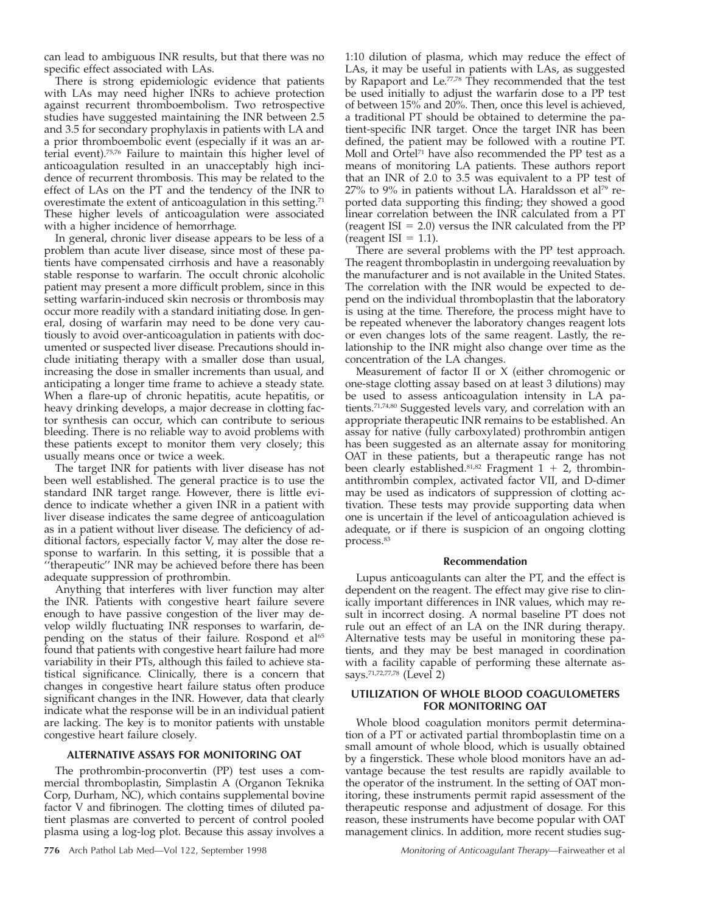can lead to ambiguous INR results, but that there was no specific effect associated with LAs.

There is strong epidemiologic evidence that patients with LAs may need higher INRs to achieve protection against recurrent thromboembolism. Two retrospective studies have suggested maintaining the INR between 2.5 and 3.5 for secondary prophylaxis in patients with LA and a prior thromboembolic event (especially if it was an arterial event).75,76 Failure to maintain this higher level of anticoagulation resulted in an unacceptably high incidence of recurrent thrombosis. This may be related to the effect of LAs on the PT and the tendency of the INR to overestimate the extent of anticoagulation in this setting.<sup>71</sup> These higher levels of anticoagulation were associated with a higher incidence of hemorrhage.

In general, chronic liver disease appears to be less of a problem than acute liver disease, since most of these patients have compensated cirrhosis and have a reasonably stable response to warfarin. The occult chronic alcoholic patient may present a more difficult problem, since in this setting warfarin-induced skin necrosis or thrombosis may occur more readily with a standard initiating dose. In general, dosing of warfarin may need to be done very cautiously to avoid over-anticoagulation in patients with documented or suspected liver disease. Precautions should include initiating therapy with a smaller dose than usual, increasing the dose in smaller increments than usual, and anticipating a longer time frame to achieve a steady state. When a flare-up of chronic hepatitis, acute hepatitis, or heavy drinking develops, a major decrease in clotting factor synthesis can occur, which can contribute to serious bleeding. There is no reliable way to avoid problems with these patients except to monitor them very closely; this usually means once or twice a week.

The target INR for patients with liver disease has not been well established. The general practice is to use the standard INR target range. However, there is little evidence to indicate whether a given INR in a patient with liver disease indicates the same degree of anticoagulation as in a patient without liver disease. The deficiency of additional factors, especially factor V, may alter the dose response to warfarin. In this setting, it is possible that a ''therapeutic'' INR may be achieved before there has been adequate suppression of prothrombin.

Anything that interferes with liver function may alter the INR. Patients with congestive heart failure severe enough to have passive congestion of the liver may develop wildly fluctuating INR responses to warfarin, depending on the status of their failure. Rospond et al<sup>65</sup> found that patients with congestive heart failure had more variability in their PTs, although this failed to achieve statistical significance. Clinically, there is a concern that changes in congestive heart failure status often produce significant changes in the INR. However, data that clearly indicate what the response will be in an individual patient are lacking. The key is to monitor patients with unstable congestive heart failure closely.

## **ALTERNATIVE ASSAYS FOR MONITORING OAT**

The prothrombin-proconvertin (PP) test uses a commercial thromboplastin, Simplastin A (Organon Teknika Corp, Durham, NC), which contains supplemental bovine factor V and fibrinogen. The clotting times of diluted patient plasmas are converted to percent of control pooled plasma using a log-log plot. Because this assay involves a

1:10 dilution of plasma, which may reduce the effect of LAs, it may be useful in patients with LAs, as suggested by Rapaport and Le.<sup>77,78</sup> They recommended that the test be used initially to adjust the warfarin dose to a PP test of between 15% and 20%. Then, once this level is achieved, a traditional PT should be obtained to determine the patient-specific INR target. Once the target INR has been defined, the patient may be followed with a routine PT. Moll and Ortel<sup>71</sup> have also recommended the PP test as a means of monitoring LA patients. These authors report that an INR of 2.0 to 3.5 was equivalent to a PP test of  $27\%$  to 9% in patients without LA. Haraldsson et al<sup>79</sup> reported data supporting this finding; they showed a good linear correlation between the INR calculated from a PT (reagent ISI  $= 2.0$ ) versus the INR calculated from the PP (reagent ISI =  $1.1$ ).

There are several problems with the PP test approach. The reagent thromboplastin in undergoing reevaluation by the manufacturer and is not available in the United States. The correlation with the INR would be expected to depend on the individual thromboplastin that the laboratory is using at the time. Therefore, the process might have to be repeated whenever the laboratory changes reagent lots or even changes lots of the same reagent. Lastly, the relationship to the INR might also change over time as the concentration of the LA changes.

Measurement of factor II or X (either chromogenic or one-stage clotting assay based on at least 3 dilutions) may be used to assess anticoagulation intensity in LA patients.71,74,80 Suggested levels vary, and correlation with an appropriate therapeutic INR remains to be established. An assay for native (fully carboxylated) prothrombin antigen has been suggested as an alternate assay for monitoring OAT in these patients, but a therapeutic range has not been clearly established.<sup>81,82</sup> Fragment  $1 + 2$ , thrombinantithrombin complex, activated factor VII, and D-dimer may be used as indicators of suppression of clotting activation. These tests may provide supporting data when one is uncertain if the level of anticoagulation achieved is adequate, or if there is suspicion of an ongoing clotting process.<sup>83</sup>

#### **Recommendation**

Lupus anticoagulants can alter the PT, and the effect is dependent on the reagent. The effect may give rise to clinically important differences in INR values, which may result in incorrect dosing. A normal baseline PT does not rule out an effect of an LA on the INR during therapy. Alternative tests may be useful in monitoring these patients, and they may be best managed in coordination with a facility capable of performing these alternate assays.71,72,77,78 (Level 2)

## **UTILIZATION OF WHOLE BLOOD COAGULOMETERS FOR MONITORING OAT**

Whole blood coagulation monitors permit determination of a PT or activated partial thromboplastin time on a small amount of whole blood, which is usually obtained by a fingerstick. These whole blood monitors have an advantage because the test results are rapidly available to the operator of the instrument. In the setting of OAT monitoring, these instruments permit rapid assessment of the therapeutic response and adjustment of dosage. For this reason, these instruments have become popular with OAT management clinics. In addition, more recent studies sug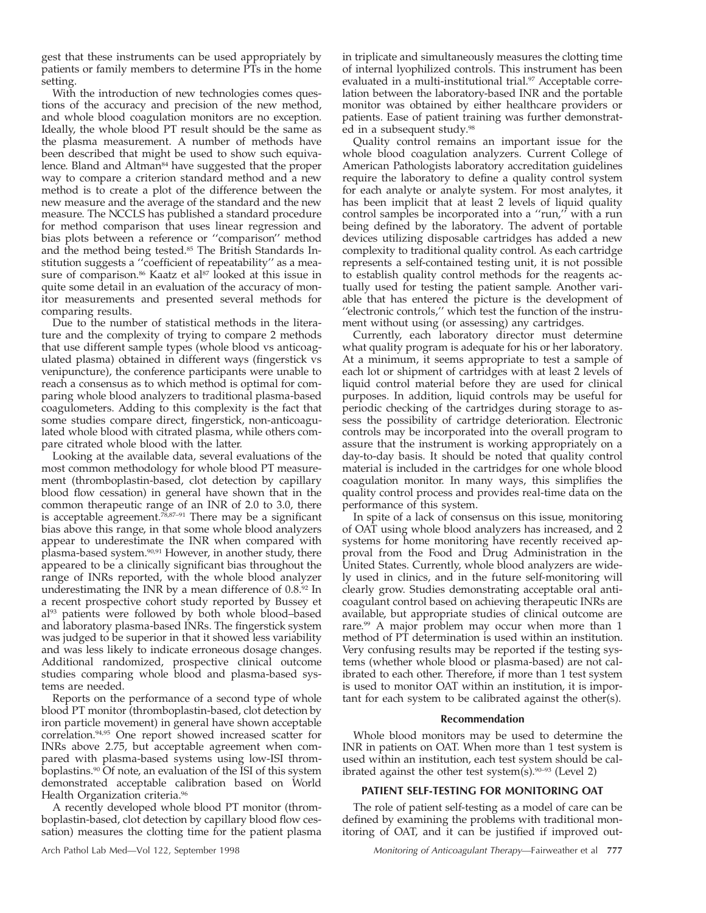gest that these instruments can be used appropriately by patients or family members to determine PTs in the home setting.

With the introduction of new technologies comes questions of the accuracy and precision of the new method, and whole blood coagulation monitors are no exception. Ideally, the whole blood PT result should be the same as the plasma measurement. A number of methods have been described that might be used to show such equivalence. Bland and Altman<sup>84</sup> have suggested that the proper way to compare a criterion standard method and a new method is to create a plot of the difference between the new measure and the average of the standard and the new measure. The NCCLS has published a standard procedure for method comparison that uses linear regression and bias plots between a reference or ''comparison'' method and the method being tested.85 The British Standards Institution suggests a ''coefficient of repeatability'' as a measure of comparison.<sup>86</sup> Kaatz et al<sup>87</sup> looked at this issue in quite some detail in an evaluation of the accuracy of monitor measurements and presented several methods for comparing results.

Due to the number of statistical methods in the literature and the complexity of trying to compare 2 methods that use different sample types (whole blood vs anticoagulated plasma) obtained in different ways (fingerstick vs venipuncture), the conference participants were unable to reach a consensus as to which method is optimal for comparing whole blood analyzers to traditional plasma-based coagulometers. Adding to this complexity is the fact that some studies compare direct, fingerstick, non-anticoagulated whole blood with citrated plasma, while others compare citrated whole blood with the latter.

Looking at the available data, several evaluations of the most common methodology for whole blood PT measurement (thromboplastin-based, clot detection by capillary blood flow cessation) in general have shown that in the common therapeutic range of an INR of 2.0 to 3.0, there is acceptable agreement.78,87–91 There may be a significant bias above this range, in that some whole blood analyzers appear to underestimate the INR when compared with plasma-based system.90,91 However, in another study, there appeared to be a clinically significant bias throughout the range of INRs reported, with the whole blood analyzer underestimating the INR by a mean difference of 0.8.92 In a recent prospective cohort study reported by Bussey et al93 patients were followed by both whole blood–based and laboratory plasma-based INRs. The fingerstick system was judged to be superior in that it showed less variability and was less likely to indicate erroneous dosage changes. Additional randomized, prospective clinical outcome studies comparing whole blood and plasma-based systems are needed.

Reports on the performance of a second type of whole blood PT monitor (thromboplastin-based, clot detection by iron particle movement) in general have shown acceptable correlation.94,95 One report showed increased scatter for INRs above 2.75, but acceptable agreement when compared with plasma-based systems using low-ISI thromboplastins.90 Of note, an evaluation of the ISI of this system demonstrated acceptable calibration based on World Health Organization criteria.96

A recently developed whole blood PT monitor (thromboplastin-based, clot detection by capillary blood flow cessation) measures the clotting time for the patient plasma in triplicate and simultaneously measures the clotting time of internal lyophilized controls. This instrument has been evaluated in a multi-institutional trial.<sup>97</sup> Acceptable correlation between the laboratory-based INR and the portable monitor was obtained by either healthcare providers or patients. Ease of patient training was further demonstrated in a subsequent study.<sup>98</sup>

Quality control remains an important issue for the whole blood coagulation analyzers. Current College of American Pathologists laboratory accreditation guidelines require the laboratory to define a quality control system for each analyte or analyte system. For most analytes, it has been implicit that at least 2 levels of liquid quality control samples be incorporated into a ''run,'' with a run being defined by the laboratory. The advent of portable devices utilizing disposable cartridges has added a new complexity to traditional quality control. As each cartridge represents a self-contained testing unit, it is not possible to establish quality control methods for the reagents actually used for testing the patient sample. Another variable that has entered the picture is the development of ''electronic controls,'' which test the function of the instrument without using (or assessing) any cartridges.

Currently, each laboratory director must determine what quality program is adequate for his or her laboratory. At a minimum, it seems appropriate to test a sample of each lot or shipment of cartridges with at least 2 levels of liquid control material before they are used for clinical purposes. In addition, liquid controls may be useful for periodic checking of the cartridges during storage to assess the possibility of cartridge deterioration. Electronic controls may be incorporated into the overall program to assure that the instrument is working appropriately on a day-to-day basis. It should be noted that quality control material is included in the cartridges for one whole blood coagulation monitor. In many ways, this simplifies the quality control process and provides real-time data on the performance of this system.

In spite of a lack of consensus on this issue, monitoring of OAT using whole blood analyzers has increased, and 2 systems for home monitoring have recently received approval from the Food and Drug Administration in the United States. Currently, whole blood analyzers are widely used in clinics, and in the future self-monitoring will clearly grow. Studies demonstrating acceptable oral anticoagulant control based on achieving therapeutic INRs are available, but appropriate studies of clinical outcome are rare.<sup>99</sup> A major problem may occur when more than 1 method of PT determination is used within an institution. Very confusing results may be reported if the testing systems (whether whole blood or plasma-based) are not calibrated to each other. Therefore, if more than 1 test system is used to monitor OAT within an institution, it is important for each system to be calibrated against the other(s).

#### **Recommendation**

Whole blood monitors may be used to determine the INR in patients on OAT. When more than 1 test system is used within an institution, each test system should be calibrated against the other test system(s). $90-93$  (Level 2)

## **PATIENT SELF-TESTING FOR MONITORING OAT**

The role of patient self-testing as a model of care can be defined by examining the problems with traditional monitoring of OAT, and it can be justified if improved out-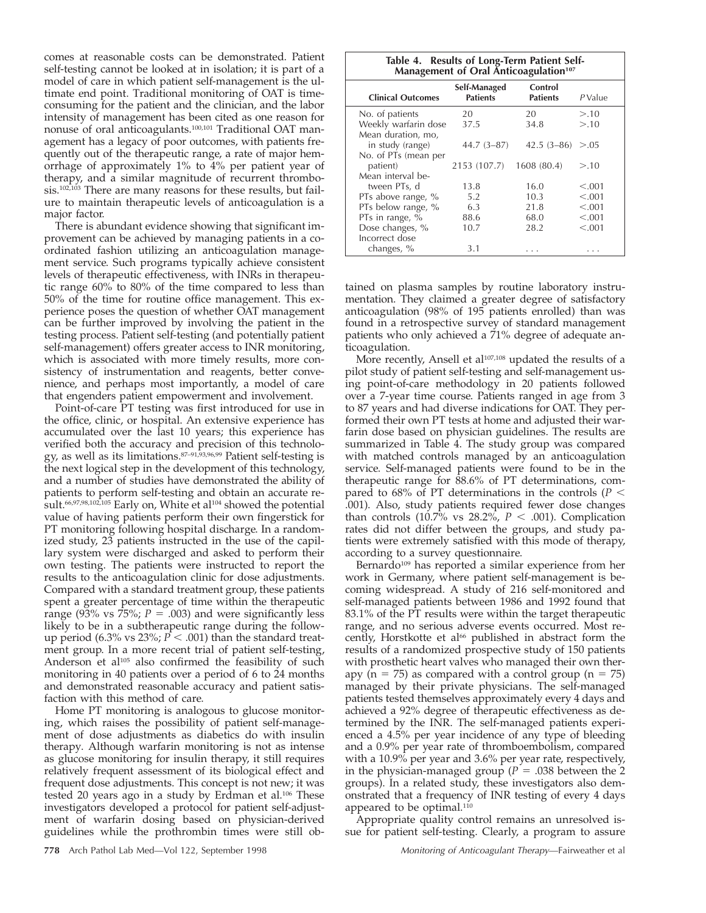comes at reasonable costs can be demonstrated. Patient self-testing cannot be looked at in isolation; it is part of a model of care in which patient self-management is the ultimate end point. Traditional monitoring of OAT is timeconsuming for the patient and the clinician, and the labor intensity of management has been cited as one reason for nonuse of oral anticoagulants.100,101 Traditional OAT management has a legacy of poor outcomes, with patients frequently out of the therapeutic range, a rate of major hemorrhage of approximately 1% to 4% per patient year of therapy, and a similar magnitude of recurrent thrombosis.102,103 There are many reasons for these results, but failure to maintain therapeutic levels of anticoagulation is a major factor.

There is abundant evidence showing that significant improvement can be achieved by managing patients in a coordinated fashion utilizing an anticoagulation management service. Such programs typically achieve consistent levels of therapeutic effectiveness, with INRs in therapeutic range 60% to 80% of the time compared to less than 50% of the time for routine office management. This experience poses the question of whether OAT management can be further improved by involving the patient in the testing process. Patient self-testing (and potentially patient self-management) offers greater access to INR monitoring, which is associated with more timely results, more consistency of instrumentation and reagents, better convenience, and perhaps most importantly, a model of care that engenders patient empowerment and involvement.

Point-of-care PT testing was first introduced for use in the office, clinic, or hospital. An extensive experience has accumulated over the last 10 years; this experience has verified both the accuracy and precision of this technology, as well as its limitations.87–91,93,96,99 Patient self-testing is the next logical step in the development of this technology, and a number of studies have demonstrated the ability of patients to perform self-testing and obtain an accurate result.<sup>66,97,98,102,105</sup> Early on, White et al<sup>104</sup> showed the potential value of having patients perform their own fingerstick for PT monitoring following hospital discharge. In a randomized study, 23 patients instructed in the use of the capillary system were discharged and asked to perform their own testing. The patients were instructed to report the results to the anticoagulation clinic for dose adjustments. Compared with a standard treatment group, these patients spent a greater percentage of time within the therapeutic range (93% vs  $75\%$ ;  $P = .003$ ) and were significantly less likely to be in a subtherapeutic range during the followup period  $(6.3\% \text{ vs } 23\%; P < .001)$  than the standard treatment group. In a more recent trial of patient self-testing, Anderson et al<sup>105</sup> also confirmed the feasibility of such monitoring in 40 patients over a period of 6 to 24 months and demonstrated reasonable accuracy and patient satisfaction with this method of care.

Home PT monitoring is analogous to glucose monitoring, which raises the possibility of patient self-management of dose adjustments as diabetics do with insulin therapy. Although warfarin monitoring is not as intense as glucose monitoring for insulin therapy, it still requires relatively frequent assessment of its biological effect and frequent dose adjustments. This concept is not new; it was tested 20 years ago in a study by Erdman et al.106 These investigators developed a protocol for patient self-adjustment of warfarin dosing based on physician-derived guidelines while the prothrombin times were still ob-

| Table 4. Results of Long-Term Patient Self-<br>Management of Oral Anticoagulation <sup>107</sup> |                                 |                            |           |  |  |  |  |
|--------------------------------------------------------------------------------------------------|---------------------------------|----------------------------|-----------|--|--|--|--|
| <b>Clinical Outcomes</b>                                                                         | Self-Managed<br><b>Patients</b> | Control<br><b>Patients</b> | $P$ Value |  |  |  |  |
| No. of patients                                                                                  | 20                              | 20                         | >10       |  |  |  |  |
| Weekly warfarin dose                                                                             | 37.5                            | 34.8                       | >10       |  |  |  |  |
| Mean duration, mo,                                                                               |                                 |                            |           |  |  |  |  |
| in study (range)                                                                                 | 44.7 (3-87)                     | $42.5(3-86) > 0.05$        |           |  |  |  |  |
| No. of PTs (mean per                                                                             |                                 |                            |           |  |  |  |  |
| patient)                                                                                         | 2153 (107.7)                    | 1608 (80.4)                | >10       |  |  |  |  |
| Mean interval be-                                                                                |                                 |                            |           |  |  |  |  |
| tween PTs, d                                                                                     | 13.8                            | 16.0                       | < 0.001   |  |  |  |  |
| PTs above range, %                                                                               | 5.2                             | 10.3                       | < 0.001   |  |  |  |  |
| PTs below range, %                                                                               | 6.3                             | 21.8                       | < 0.001   |  |  |  |  |
| PTs in range, %                                                                                  | 88.6                            | 68.0                       | < 0.001   |  |  |  |  |
| Dose changes, %                                                                                  | 10.7                            | 28.2                       | < 0.001   |  |  |  |  |
| Incorrect dose                                                                                   |                                 |                            |           |  |  |  |  |
| changes, %                                                                                       | 3.1                             | .                          |           |  |  |  |  |

tained on plasma samples by routine laboratory instrumentation. They claimed a greater degree of satisfactory anticoagulation (98% of 195 patients enrolled) than was found in a retrospective survey of standard management patients who only achieved a 71% degree of adequate anticoagulation.

More recently, Ansell et al<sup>107,108</sup> updated the results of a pilot study of patient self-testing and self-management using point-of-care methodology in 20 patients followed over a 7-year time course. Patients ranged in age from 3 to 87 years and had diverse indications for OAT. They performed their own PT tests at home and adjusted their warfarin dose based on physician guidelines. The results are summarized in Table 4. The study group was compared with matched controls managed by an anticoagulation service. Self-managed patients were found to be in the therapeutic range for 88.6% of PT determinations, compared to 68% of PT determinations in the controls ( $P <$ .001). Also, study patients required fewer dose changes than controls  $(10.7\% \text{ vs } 28.2\%, P < .001)$ . Complication rates did not differ between the groups, and study patients were extremely satisfied with this mode of therapy, according to a survey questionnaire.

Bernardo<sup>109</sup> has reported a similar experience from her work in Germany, where patient self-management is becoming widespread. A study of 216 self-monitored and self-managed patients between 1986 and 1992 found that 83.1% of the PT results were within the target therapeutic range, and no serious adverse events occurred. Most recently, Horstkotte et al<sup>66</sup> published in abstract form the results of a randomized prospective study of 150 patients with prosthetic heart valves who managed their own therapy (n = 75) as compared with a control group (n = 75) managed by their private physicians. The self-managed patients tested themselves approximately every 4 days and achieved a 92% degree of therapeutic effectiveness as determined by the INR. The self-managed patients experienced a 4.5% per year incidence of any type of bleeding and a 0.9% per year rate of thromboembolism, compared with a 10.9% per year and 3.6% per year rate, respectively, in the physician-managed group ( $P = .038$  between the 2 groups). In a related study, these investigators also demonstrated that a frequency of INR testing of every 4 days appeared to be optimal.<sup>110</sup>

Appropriate quality control remains an unresolved issue for patient self-testing. Clearly, a program to assure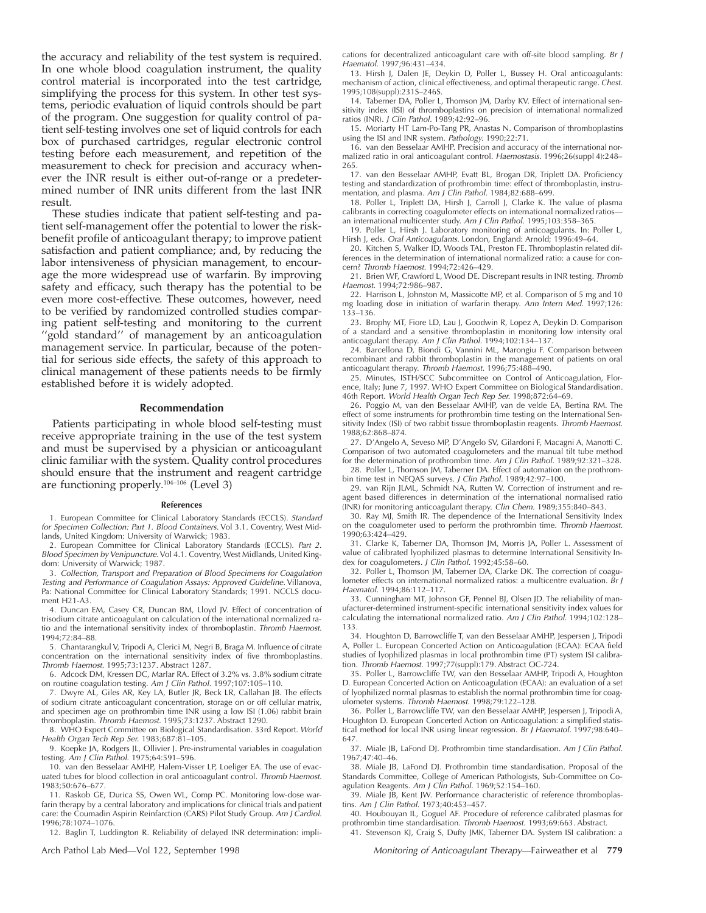the accuracy and reliability of the test system is required. In one whole blood coagulation instrument, the quality control material is incorporated into the test cartridge, simplifying the process for this system. In other test systems, periodic evaluation of liquid controls should be part of the program. One suggestion for quality control of patient self-testing involves one set of liquid controls for each box of purchased cartridges, regular electronic control testing before each measurement, and repetition of the measurement to check for precision and accuracy whenever the INR result is either out-of-range or a predetermined number of INR units different from the last INR result.

These studies indicate that patient self-testing and patient self-management offer the potential to lower the riskbenefit profile of anticoagulant therapy; to improve patient satisfaction and patient compliance; and, by reducing the labor intensiveness of physician management, to encourage the more widespread use of warfarin. By improving safety and efficacy, such therapy has the potential to be even more cost-effective. These outcomes, however, need to be verified by randomized controlled studies comparing patient self-testing and monitoring to the current "gold standard" of management by an anticoagulation management service. In particular, because of the potential for serious side effects, the safety of this approach to clinical management of these patients needs to be firmly established before it is widely adopted.

#### **Recommendation**

Patients participating in whole blood self-testing must receive appropriate training in the use of the test system and must be supervised by a physician or anticoagulant clinic familiar with the system. Quality control procedures should ensure that the instrument and reagent cartridge are functioning properly.104–106 (Level 3)

#### **References**

1. European Committee for Clinical Laboratory Standards (ECCLS). Standard for Specimen Collection: Part 1. Blood Containers. Vol 3.1. Coventry, West Midlands, United Kingdom: University of Warwick; 1983.

2. European Committee for Clinical Laboratory Standards (ECCLS). Part 2. Blood Specimen by Venipuncture. Vol 4.1. Coventry, West Midlands, United Kingdom: University of Warwick; 1987.

3. Collection, Transport and Preparation of Blood Specimens for Coagulation Testing and Performance of Coagulation Assays: Approved Guideline. Villanova, Pa: National Committee for Clinical Laboratory Standards; 1991. NCCLS document H21-A3.

4. Duncan EM, Casey CR, Duncan BM, Lloyd JV. Effect of concentration of trisodium citrate anticoagulant on calculation of the international normalized ratio and the international sensitivity index of thromboplastin. Thromb Haemost. 1994;72:84–88.

5. Chantarangkul V, Tripodi A, Clerici M, Negri B, Braga M. Influence of citrate concentration on the international sensitivity index of five thromboplastins. Thromb Haemost. 1995;73:1237. Abstract 1287.

6. Adcock DM, Kressen DC, Marlar RA. Effect of 3.2% vs. 3.8% sodium citrate on routine coagulation testing. Am J Clin Pathol. 1997;107:105–110.

7. Dwyre AL, Giles AR, Key LA, Butler JR, Beck LR, Callahan JB. The effects of sodium citrate anticoagulant concentration, storage on or off cellular matrix, and specimen age on prothrombin time INR using a low ISI (1.06) rabbit brain thromboplastin. Thromb Haemost. 1995;73:1237. Abstract 1290.

8. WHO Expert Committee on Biological Standardisation. 33rd Report. World Health Organ Tech Rep Ser. 1983;687:81-105.

9. Koepke JA, Rodgers JL, Ollivier J. Pre-instrumental variables in coagulation testing. Am J Clin Pathol. 1975;64:591–596.

10. van den Besselaar AMHP, Halem-Visser LP, Loeliger EA. The use of evacuated tubes for blood collection in oral anticoagulant control. Thromb Haemost. 1983;50:676–677.

11. Raskob GE, Durica SS, Owen WL, Comp PC. Monitoring low-dose warfarin therapy by a central laboratory and implications for clinical trials and patient<br>care: the Coumadin Aspirin Reinfarction (CARS) Pilot Study Group*. Am J Cardiol.* 1996;78:1074–1076.

12. Baglin T, Luddington R. Reliability of delayed INR determination: impli-

cations for decentralized anticoagulant care with off-site blood sampling. Br J Haematol. 1997;96:431–434.

13. Hirsh J, Dalen JE, Deykin D, Poller L, Bussey H. Oral anticoagulants: mechanism of action, clinical effectiveness, and optimal therapeutic range. Chest. 1995;108(suppl):231S–246S.

14. Taberner DA, Poller L, Thomson JM, Darby KV. Effect of international sensitivity index (ISI) of thromboplastins on precision of international normalized ratios (INR). J Clin Pathol. 1989;42:92–96.

15. Moriarty HT Lam-Po-Tang PR, Anastas N. Comparison of thromboplastins using the ISI and INR system. Pathology. 1990;22:71.

16. van den Besselaar AMHP. Precision and accuracy of the international normalized ratio in oral anticoagulant control. Haemostasis. 1996;26(suppl 4):248– 265.

17. van den Besselaar AMHP, Evatt BL, Brogan DR, Triplett DA. Proficiency testing and standardization of prothrombin time: effect of thromboplastin, instrumentation, and plasma. Am J Clin Pathol. 1984;82:688–699.

18. Poller L, Triplett DA, Hirsh J, Carroll J, Clarke K. The value of plasma calibrants in correcting coagulometer effects on international normalized ratios an international multicenter study. Am J Clin Pathol. 1995;103:358–365.

19. Poller L, Hirsh J. Laboratory monitoring of anticoagulants. In: Poller L, Hirsh J, eds. Oral Anticoagulants. London, England: Arnold; 1996:49–64.

20. Kitchen S, Walker ID, Woods TAL, Preston FE. Thromboplastin related differences in the determination of international normalized ratio: a cause for concern? Thromb Haemost. 1994;72:426–429.

21. Brien WF, Crawford L, Wood DE. Discrepant results in INR testing. Thromb Haemost. 1994;72:986–987.

22. Harrison L, Johnston M, Massicotte MP, et al. Comparison of 5 mg and 10 mg loading dose in initiation of warfarin therapy. Ann Intern Med. 1997;126: 133–136.

23. Brophy MT, Fiore LD, Lau J, Goodwin R, Lopez A, Deykin D. Comparison of a standard and a sensitive thromboplastin in monitoring low intensity oral anticoagulant therapy. Am J Clin Pathol. 1994;102:134–137.

24. Barcellona D, Biondi G, Vannini ML, Marongiu F. Comparison between recombinant and rabbit thromboplastin in the management of patients on oral anticoagulant therapy. Thromb Haemost. 1996;75:488–490.

25. Minutes, ISTH/SCC Subcommittee on Control of Anticoagulation, Florence, Italy; June 7, 1997. WHO Expert Committee on Biological Standardisation. 46th Report. World Health Organ Tech Rep Ser. 1998;872:64–69.

26. Poggio M, van den Besselaar AMHP, van de velde EA, Bertina RM. The effect of some instruments for prothrombin time testing on the International Sen-<br>sitivity Index (ISI) of two rabbit tissue thromboplastin reagents. *Thromb Haemost.* 1988;62:868–874.

27. D'Angelo A, Seveso MP, D'Angelo SV, Gilardoni F, Macagni A, Manotti C. Comparison of two automated coagulometers and the manual tilt tube method for the determination of prothrombin time. Am J Clin Pathol. 1989;92:321–328.

28. Poller L, Thomson JM, Taberner DA. Effect of automation on the prothrombin time test in NEQAS surveys. J Clin Pathol. 1989;42:97–100.

29. van Rijn JLML, Schmidt NA, Rutten W. Correction of instrument and reagent based differences in determination of the international normalised ratio (INR) for monitoring anticoagulant therapy. Clin Chem. 1989;355:840–843.

30. Ray MJ, Smith IR. The dependence of the International Sensitivity Index on the coagulometer used to perform the prothrombin time. Thromb Haemost. 1990;63:424–429.

31. Clarke K, Taberner DA, Thomson JM, Morris JA, Poller L. Assessment of value of calibrated lyophilized plasmas to determine International Sensitivity Index for coagulometers. J Clin Pathol. 1992;45:58–60.

32. Poller L, Thomson JM, Taberner DA, Clarke DK. The correction of coagulometer effects on international normalized ratios: a multicentre evaluation. Br J Haematol. 1994;86:112–117.

33. Cunningham MT, Johnson GF, Pennel BJ, Olsen JD. The reliability of manufacturer-determined instrument-specific international sensitivity index values for calculating the international normalized ratio. Am J Clin Pathol. 1994;102:128– 133.

34. Houghton D, Barrowcliffe T, van den Besselaar AMHP, Jespersen J, Tripodi A, Poller L. European Concerted Action on Anticoagulation (ECAA): ECAA field studies of lyophilized plasmas in local prothrombin time (PT) system ISI calibration. Thromb Haemost. 1997;77(suppl):179. Abstract OC-724.

35. Poller L, Barrowcliffe TW, van den Besselaar AMHP, Tripodi A, Houghton D. European Concerted Action on Anticoagulation (ECAA): an evaluation of a set of lyophilized normal plasmas to establish the normal prothrombin time for coagulometer systems. Thromb Haemost. 1998;79:122–128.

36. Poller L, Barrowcliffe TW, van den Besselaar AMHP, Jespersen J, Tripodi A, Houghton D. European Concerted Action on Anticoagulation: a simplified statistical method for local INR using linear regression. Br J Haematol. 1997;98:640– 647.

37. Miale JB, LaFond DJ. Prothrombin time standardisation. Am J Clin Pathol. 1967;47:40–46.

38. Miale JB, LaFond DJ. Prothrombin time standardisation. Proposal of the Standards Committee, College of American Pathologists, Sub-Committee on Coagulation Reagents. Am J Clin Pathol. 1969;52:154-160.

39. Miale JB, Kent JW. Performance characteristic of reference thromboplastins. Am J Clin Pathol. 1973;40:453–457.

40. Houbouyan IL, Goguel AF. Procedure of reference calibrated plasmas for prothrombin time standardisation. Thromb Haemost. 1993;69:663. Abstract. 41. Stevenson KJ, Craig S, Dufty JMK, Taberner DA. System ISI calibration: a

Arch Pathol Lab Med—Vol 122, September 1998 Monitoring of Anticoagulant Therapy—Fairweather et al 779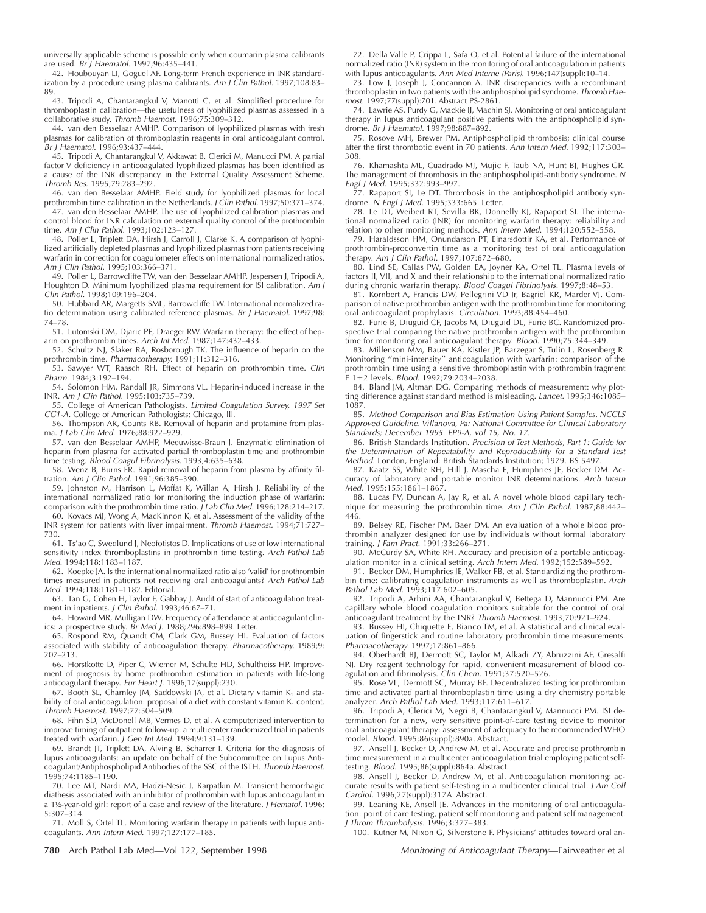universally applicable scheme is possible only when coumarin plasma calibrants are used. Br J Haematol. 1997;96:435–441.

42. Houbouyan LI, Goguel AF. Long-term French experience in INR standardization by a procedure using plasma calibrants. Am J Clin Pathol. 1997;108:83-89.

43. Tripodi A, Chantarangkul V, Manotti C, et al. Simplified procedure for thromboplastin calibration—the usefulness of lyophilized plasmas assessed in a collaborative study. Thromb Haemost. 1996;75:309–312.

44. van den Besselaar AMHP. Comparison of lyophilized plasmas with fresh plasmas for calibration of thromboplastin reagents in oral anticoagulant control. Br J Haematol. 1996;93:437–444.

45. Tripodi A, Chantarangkul V, Akkawat B, Clerici M, Manucci PM. A partial factor V deficiency in anticoagulated lyophilized plasmas has been identified as a cause of the INR discrepancy in the External Quality Assessment Scheme. Thromb Res. 1995;79:283–292.

46. van den Besselaar AMHP. Field study for lyophilized plasmas for local prothrombin time calibration in the Netherlands. J Clin Pathol. 1997;50:371–374.

47. van den Besselaar AMHP. The use of lyophilized calibration plasmas and control blood for INR calculation on external quality control of the prothrombin time. Am J Clin Pathol. 1993;102:123–127.

48. Poller L, Triplett DA, Hirsh J, Carroll J, Clarke K. A comparison of lyophilized artificially depleted plasmas and lyophilized plasmas from patients receiving warfarin in correction for coagulometer effects on international normalized ratios. Am J Clin Pathol. 1995;103:366–371.

49. Poller L, Barrowcliffe TW, van den Besselaar AMHP, Jespersen J, Tripodi A, Houghton D. Minimum lyophilized plasma requirement for ISI calibration. Am J Clin Pathol. 1998;109:196–204.

50. Hubbard AR, Margetts SML, Barrowcliffe TW. International normalized ratio determination using calibrated reference plasmas. Br J Haematol. 1997;98: 74–78.

51. Lutomski DM, Djaric PE, Draeger RW. Warfarin therapy: the effect of heparin on prothrombin times. Arch Int Med. 1987;147:432–433.

52. Schultz NJ, Slaker RA, Rosborough TK. The influence of heparin on the prothrombin time. Pharmacotherapy. 1991;11:312-316.

53. Sawyer WT, Raasch RH. Effect of heparin on prothrombin time. Clin Pharm. 1984;3:192–194.

54. Solomon HM, Randall JR, Simmons VL. Heparin-induced increase in the INR. Am J Clin Pathol. 1995;103:735–739.

111.111, College of American Pathologists. Limited Coagulation Survey, 1997 Set CG1-A. College of American Pathologists; Chicago, Ill.

56. Thompson AR, Counts RB. Removal of heparin and protamine from plasma. J Lab Clin Med. 1976;88:922–929.

57. van den Besselaar AMHP, Meeuwisse-Braun J. Enzymatic elimination of heparin from plasma for activated partial thromboplastin time and prothrombin time testing. Blood Coagul Fibrinolysis. 1993;4:635–638.

58. Wenz B, Burns ER. Rapid removal of heparin from plasma by affinity fil-tration. Am J Clin Pathol. 1991;96:385–390.

59. Johnston M, Harrison L, Moffat K, Willan A, Hirsh J. Reliability of the international normalized ratio for monitoring the induction phase of warfarin: comparison with the prothrombin time ratio. J Lab Clin Med. 1996;128:214–217.

60. Kovacs MJ, Wong A, MacKinnon K, et al. Assessment of the validity of the INR system for patients with liver impairment. Thromb Haemost. 1994;71:727– 730.

61. Ts'ao C, Swedlund J, Neofotistos D. Implications of use of low international sensitivity index thromboplastins in prothrombin time testing. Arch Pathol Lab Med. 1994;118:1183–1187.

62. Koepke JA. Is the international normalized ratio also 'valid' for prothrombin times measured in patients not receiving oral anticoagulants? Arch Pathol Lab Med. 1994;118:1181–1182. Editorial.

63. Tan G, Cohen H, Taylor F, Gabbay J. Audit of start of anticoagulation treatment in inpatients. J Clin Pathol. 1993;46:67-71.

64. Howard MR, Mulligan DW. Frequency of attendance at anticoagulant clinics: a prospective study. Br Med J. 1988;296:898–899. Letter.

65. Rospond RM, Quandt CM, Clark GM, Bussey HI. Evaluation of factors associated with stability of anticoagulation therapy. Pharmacotherapy. 1989;9: 207–213.

66. Horstkotte D, Piper C, Wiemer M, Schulte HD, Schultheiss HP. Improvement of prognosis by home prothrombin estimation in patients with life-long anticoagulant therapy. Eur Heart J. 1996;17(suppl):230.

67. Booth SL, Charnley JM, Saddowski JA, et al. Dietary vitamin  $K_1$  and stability of oral anticoagulation: proposal of a diet with constant vitamin  $K_1$  content. Thromb Haemost. 1997;77:504–509.

68. Fihn SD, McDonell MB, Vermes D, et al. A computerized intervention to improve timing of outpatient follow-up: a multicenter randomized trial in patients treated with warfarin. J Gen Int Med. 1994;9:131–139.

69. Brandt JT, Triplett DA, Alving B, Scharrer I. Criteria for the diagnosis of lupus anticoagulants: an update on behalf of the Subcommittee on Lupus Anticoagulant/Antiphospholipid Antibodies of the SSC of the ISTH. Thromb Haemost. 1995;74:1185–1190.

70. Lee MT, Nardi MA, Hadzi-Nesic J, Karpatkin M. Transient hemorrhagic diathesis associated with an inhibitor of prothrombin with lupus anticoagulant in a 1½-year-old girl: report of a case and review of the literature. J Hematol. 1996; 5:307–314.

71. Moll S, Ortel TL. Monitoring warfarin therapy in patients with lupus anticoagulants. Ann Intern Med. 1997;127:177–185.

72. Della Valle P, Crippa L, Safa O, et al. Potential failure of the international normalized ratio (INR) system in the monitoring of oral anticoagulation in patients with lupus anticoagulants. Ann Med Interne (Paris). 1996;147(suppl):10-14.

73. Low J, Joseph J, Concannon A. INR discrepancies with a recombinant thromboplastin in two patients with the antiphospholipid syndrome. Thromb Haemost. 1997;77(suppl):701. Abstract PS-2861.

74. Lawrie AS, Purdy G, Mackie IJ, Machin SJ. Monitoring of oral anticoagulant therapy in lupus anticoagulant positive patients with the antiphospholipid syndrome. Br J Haematol. 1997;98:887–892.

75. Rosove MH, Brewer PM. Antiphospholipid thrombosis; clinical course after the first thrombotic event in 70 patients. Ann Intern Med. 1992;117:303– 308.

76. Khamashta ML, Cuadrado MJ, Mujic F, Taub NA, Hunt BJ, Hughes GR. The management of thrombosis in the antiphospholipid-antibody syndrome. N Engl J Med. 1995;332:993–997.

77. Rapaport SI, Le DT. Thrombosis in the antiphospholipid antibody syndrome. <sup>N</sup> Engl J Med. 1995;333:665. Letter.

78. Le DT, Weibert RT, Sevilla BK, Donnelly KJ, Rapaport SI. The international normalized ratio (INR) for monitoring warfarin therapy: reliability and relation to other monitoring methods. Ann Intern Med. 1994;120:552–558.

79. Haraldsson HM, Onundarson PT, Einarsdottir KA, et al. Performance of prothrombin-proconvertin time as a monitoring test of oral anticoagulation therapy. Am J Clin Pathol. 1997;107:672–680.

80. Lind SE, Callas PW, Golden EA, Joyner KA, Ortel TL. Plasma levels of factors II, VII, and X and their relationship to the international normalized ratio during chronic warfarin therapy. Blood Coagul Fibrinolysis. 1997;8:48–53.

81. Kornbert A, Francis DW, Pellegrini VD Jr, Bagriel KR, Marder VJ. Comparison of native prothrombin antigen with the prothrombin time for monitoring oral anticoagulant prophylaxis. Circulation. 1993;88:454–460.

82. Furie B, Diuguid CF, Jacobs M, Diuguid DL, Furie BC. Randomized prospective trial comparing the native prothrombin antigen with the prothrombin time for monitoring oral anticoagulant therapy. Blood. 1990;75:344–349.

83. Millenson MM, Bauer KA, Kistler JP, Barzegar S, Tulin L, Rosenberg R. Monitoring ''mini-intensity'' anticoagulation with warfarin: comparison of the prothrombin time using a sensitive thromboplastin with prothrombin fragment F 112 levels. Blood. 1992;79:2034–2038.

84. Bland JM, Altman DG. Comparing methods of measurement: why plotting difference against standard method is misleading. Lancet. 1995;346:1085– 1087.

85. Method Comparison and Bias Estimation Using Patient Samples. NCCLS Approved Guideline. Villanova, Pa: National Committee for Clinical Laboratory Standards; December 1995. EP9-A, vol 15, No. 17.

86. British Standards Institution. Precision of Test Methods, Part 1: Guide for the Determination of Repeatability and Reproducibility for <sup>a</sup> Standard Test Method. London, England: British Standards Institution; 1979. BS 5497.

87. Kaatz SS, White RH, Hill J, Mascha E, Humphries JE, Becker DM. Accuracy of laboratory and portable monitor INR determinations. Arch Intern Med. 1995;155:1861–1867.

88. Lucas FV, Duncan A, Jay R, et al. A novel whole blood capillary technique for measuring the prothrombin time. Am J Clin Pathol. 1987;88:442– 446.

89. Belsey RE, Fischer PM, Baer DM. An evaluation of a whole blood prothrombin analyzer designed for use by individuals without formal laboratory training. J Fam Pract. 1991;33:266–271.

90. McCurdy SA, White RH. Accuracy and precision of a portable anticoagulation monitor in a clinical setting. Arch Intern Med. 1992;152:589–592.

91. Becker DM, Humphries JE, Walker FB, et al. Standardizing the prothrombin time: calibrating coagulation instruments as well as thromboplastin. Arch Pathol Lab Med. 1993;117:602-605.

92. Tripodi A, Arbini AA, Chantarangkul V, Bettega D, Mannucci PM. Are capillary whole blood coagulation monitors suitable for the control of oral anticoagulant treatment by the INR? Thromb Haemost. 1993;70:921–924.

93. Bussey HI, Chiquette E, Bianco TM, et al. A statistical and clinical evaluation of fingerstick and routine laboratory prothrombin time measurements. Pharmacotherapy. 1997;17:861–866.

94. Oberhardt BJ, Dermott SC, Taylor M, Alkadi ZY, Abruzzini AF, Gresalfi NJ. Dry reagent technology for rapid, convenient measurement of blood co-agulation and fibrinolysis. Clin Chem. 1991;37:520–526.

95. Rose VL, Dermott SC, Murray BF. Decentralized testing for prothrombin time and activated partial thromboplastin time using a dry chemistry portable analyzer. Arch Pathol Lab Med. 1993;117:611–617.

96. Tripodi A, Clerici M, Negri B, Chantarangkul V, Mannucci PM. ISI determination for a new, very sensitive point-of-care testing device to monitor oral anticoagulant therapy: assessment of adequacy to the recommended WHO model. Blood. 1995;86(suppl):890a. Abstract.

97. Ansell J, Becker D, Andrew M, et al. Accurate and precise prothrombin time measurement in a multicenter anticoagulation trial employing patient selftesting. Blood. 1995;86(suppl):864a. Abstract.

98. Ansell J, Becker D, Andrew M, et al. Anticoagulation monitoring: accurate results with patient self-testing in a multicenter clinical trial. J Am Coll Cardiol. 1996;27(suppl):317A. Abstract.

99. Leaning KE, Ansell JE. Advances in the monitoring of oral anticoagulation: point of care testing, patient self monitoring and patient self management. J Throm Thrombolysis. 1996;3:377–383.

100. Kutner M, Nixon G, Silverstone F. Physicians' attitudes toward oral an-

**780** Arch Pathol Lab Med—Vol 122, September 1998 Monitoring of Anticoagulant Therapy—Fairweather et al